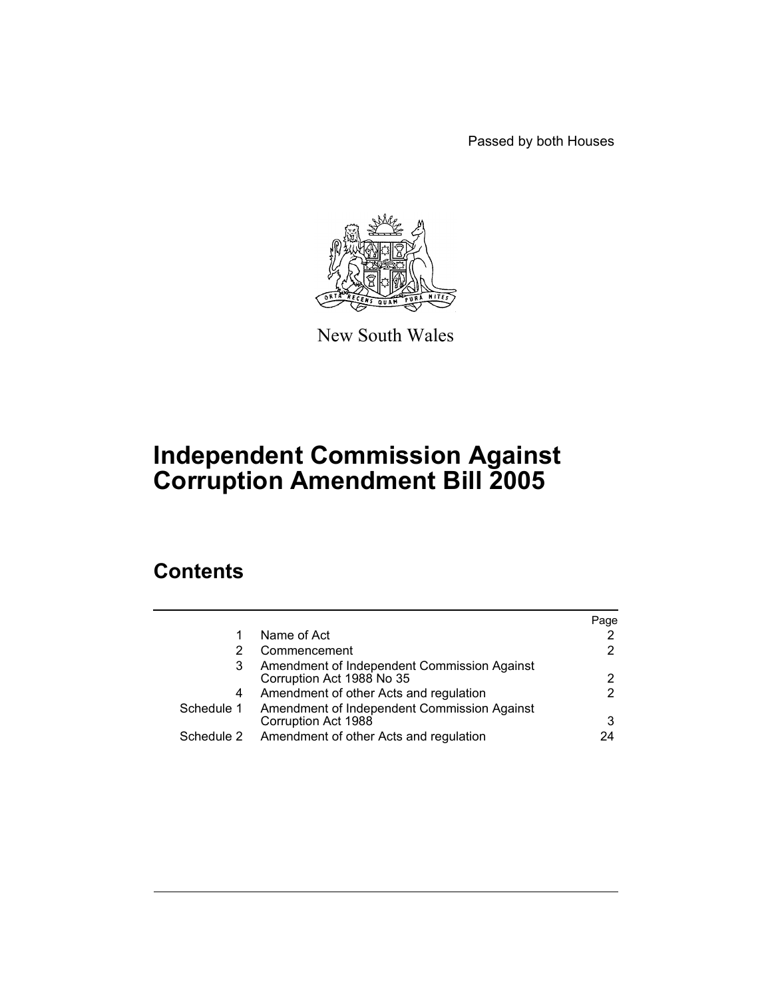Passed by both Houses



New South Wales

# **Independent Commission Against Corruption Amendment Bill 2005**

# **Contents**

|                                                                          | Page |
|--------------------------------------------------------------------------|------|
| Name of Act                                                              |      |
| Commencement                                                             |      |
| Amendment of Independent Commission Against<br>Corruption Act 1988 No 35 |      |
| Amendment of other Acts and regulation                                   |      |
| Amendment of Independent Commission Against<br>Corruption Act 1988       |      |
| Amendment of other Acts and regulation                                   | 24   |
|                                                                          |      |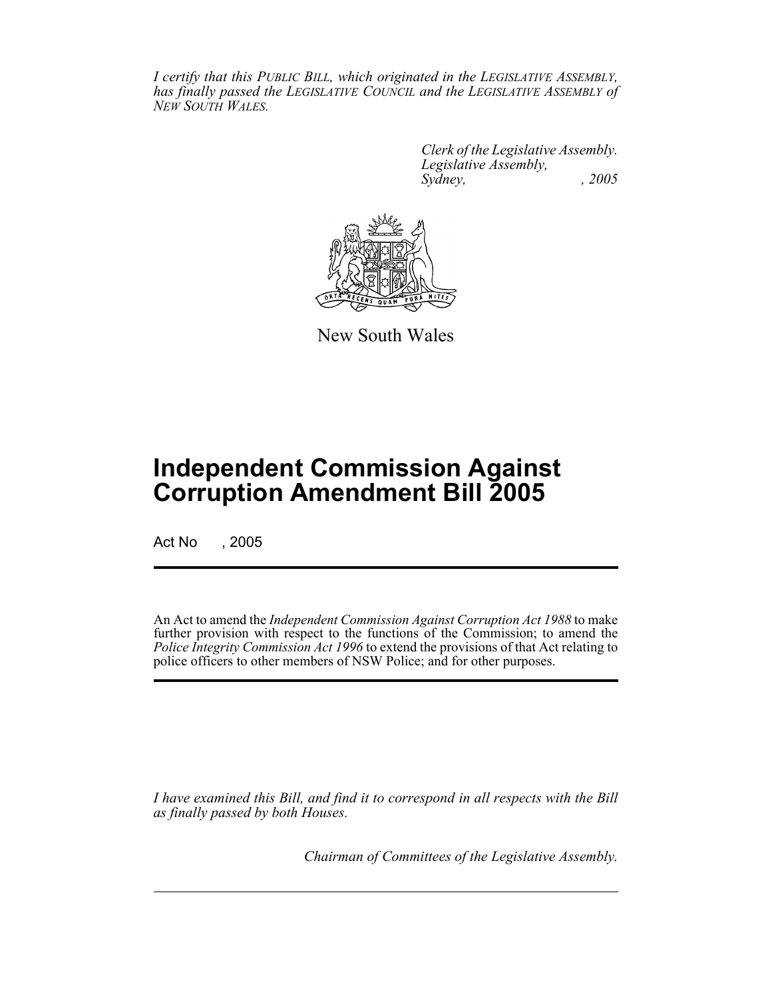*I certify that this PUBLIC BILL, which originated in the LEGISLATIVE ASSEMBLY, has finally passed the LEGISLATIVE COUNCIL and the LEGISLATIVE ASSEMBLY of NEW SOUTH WALES.*

> *Clerk of the Legislative Assembly. Legislative Assembly, Sydney, , 2005*



New South Wales

# **Independent Commission Against Corruption Amendment Bill 2005**

Act No , 2005

An Act to amend the *Independent Commission Against Corruption Act 1988* to make further provision with respect to the functions of the Commission; to amend the *Police Integrity Commission Act 1996* to extend the provisions of that Act relating to police officers to other members of NSW Police; and for other purposes.

*I have examined this Bill, and find it to correspond in all respects with the Bill as finally passed by both Houses.*

*Chairman of Committees of the Legislative Assembly.*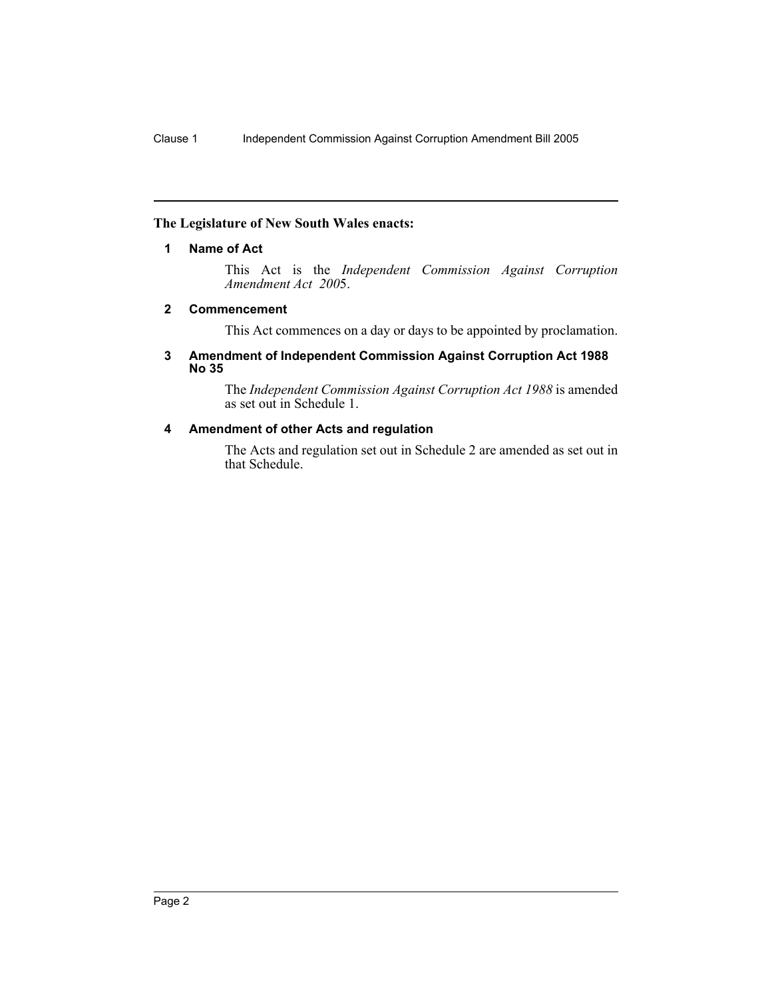# **The Legislature of New South Wales enacts:**

#### **1 Name of Act**

This Act is the *Independent Commission Against Corruption Amendment Act 200*5.

#### **2 Commencement**

This Act commences on a day or days to be appointed by proclamation.

#### **3 Amendment of Independent Commission Against Corruption Act 1988 No 35**

The *Independent Commission Against Corruption Act 1988* is amended as set out in Schedule 1.

# **4 Amendment of other Acts and regulation**

The Acts and regulation set out in Schedule 2 are amended as set out in that Schedule.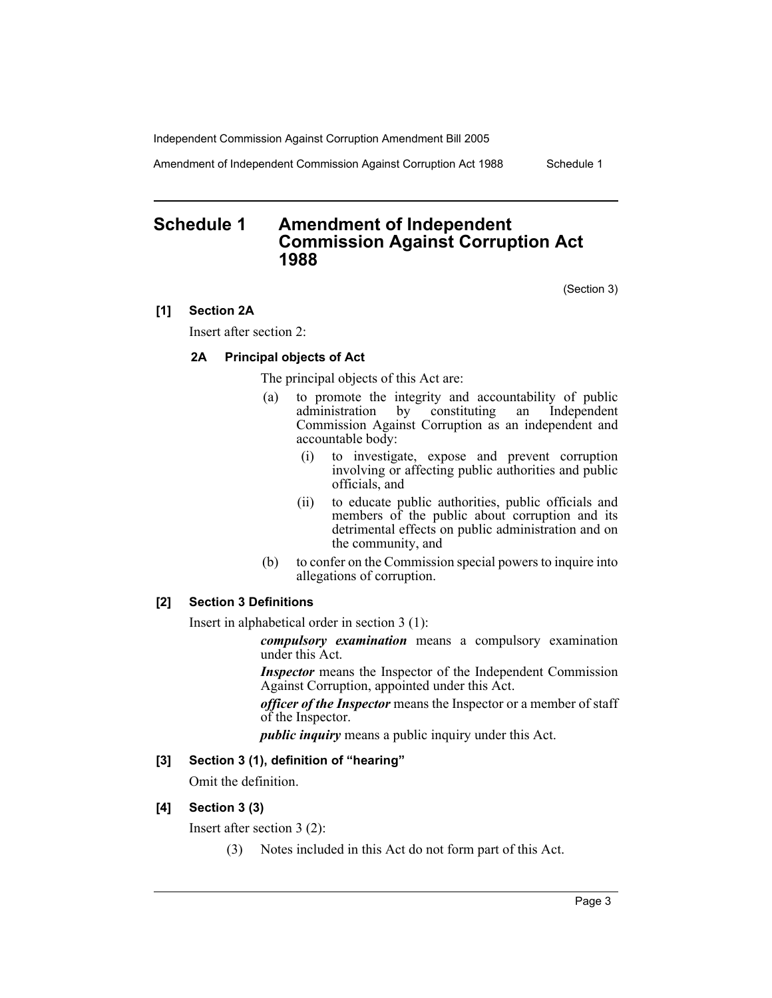Amendment of Independent Commission Against Corruption Act 1988 Schedule 1

# **Schedule 1 Amendment of Independent Commission Against Corruption Act 1988**

(Section 3)

#### **[1] Section 2A**

Insert after section 2:

# **2A Principal objects of Act**

The principal objects of this Act are:

- (a) to promote the integrity and accountability of public administration by constituting an Independent Commission Against Corruption as an independent and accountable body:
	- (i) to investigate, expose and prevent corruption involving or affecting public authorities and public officials, and
	- (ii) to educate public authorities, public officials and members of the public about corruption and its detrimental effects on public administration and on the community, and
- (b) to confer on the Commission special powers to inquire into allegations of corruption.

# **[2] Section 3 Definitions**

Insert in alphabetical order in section 3 (1):

*compulsory examination* means a compulsory examination under this Act.

*Inspector* means the Inspector of the Independent Commission Against Corruption, appointed under this Act.

*officer of the Inspector* means the Inspector or a member of staff of the Inspector.

*public inquiry* means a public inquiry under this Act.

#### **[3] Section 3 (1), definition of "hearing"**

Omit the definition.

#### **[4] Section 3 (3)**

Insert after section 3 (2):

(3) Notes included in this Act do not form part of this Act.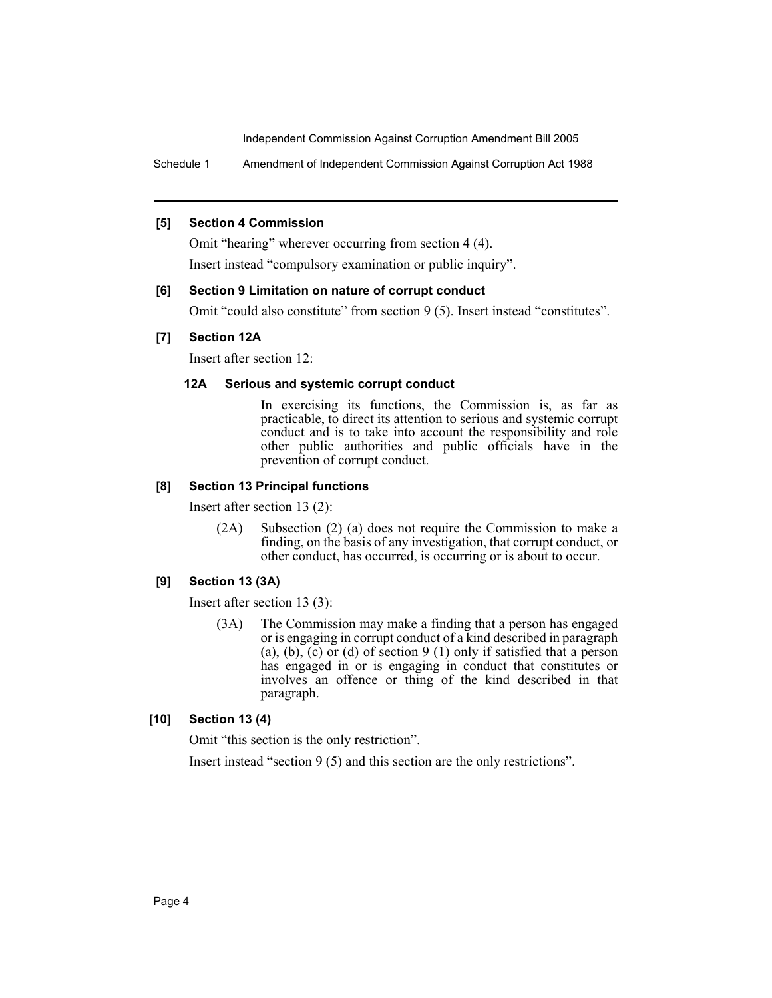Schedule 1 Amendment of Independent Commission Against Corruption Act 1988

# **[5] Section 4 Commission**

Omit "hearing" wherever occurring from section 4 (4). Insert instead "compulsory examination or public inquiry".

#### **[6] Section 9 Limitation on nature of corrupt conduct**

Omit "could also constitute" from section 9 (5). Insert instead "constitutes".

#### **[7] Section 12A**

Insert after section 12:

#### **12A Serious and systemic corrupt conduct**

In exercising its functions, the Commission is, as far as practicable, to direct its attention to serious and systemic corrupt conduct and is to take into account the responsibility and role other public authorities and public officials have in the prevention of corrupt conduct.

# **[8] Section 13 Principal functions**

Insert after section 13 (2):

(2A) Subsection (2) (a) does not require the Commission to make a finding, on the basis of any investigation, that corrupt conduct, or other conduct, has occurred, is occurring or is about to occur.

# **[9] Section 13 (3A)**

Insert after section 13 (3):

(3A) The Commission may make a finding that a person has engaged or is engaging in corrupt conduct of a kind described in paragraph (a), (b), (c) or (d) of section 9 (1) only if satisfied that a person has engaged in or is engaging in conduct that constitutes or involves an offence or thing of the kind described in that paragraph.

# **[10] Section 13 (4)**

Omit "this section is the only restriction".

Insert instead "section 9 (5) and this section are the only restrictions".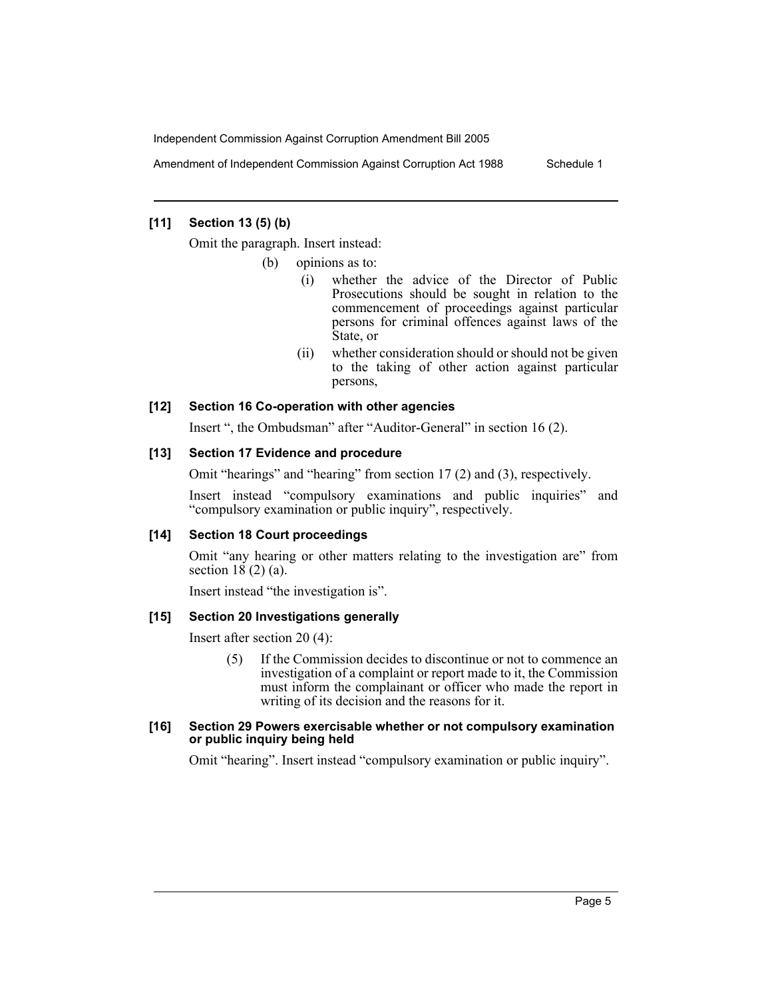Amendment of Independent Commission Against Corruption Act 1988 Schedule 1

#### **[11] Section 13 (5) (b)**

Omit the paragraph. Insert instead:

- (b) opinions as to:
	- (i) whether the advice of the Director of Public Prosecutions should be sought in relation to the commencement of proceedings against particular persons for criminal offences against laws of the State, or
	- (ii) whether consideration should or should not be given to the taking of other action against particular persons,

#### **[12] Section 16 Co-operation with other agencies**

Insert ", the Ombudsman" after "Auditor-General" in section 16 (2).

#### **[13] Section 17 Evidence and procedure**

Omit "hearings" and "hearing" from section 17 (2) and (3), respectively.

Insert instead "compulsory examinations and public inquiries" and "compulsory examination or public inquiry", respectively.

#### **[14] Section 18 Court proceedings**

Omit "any hearing or other matters relating to the investigation are" from section  $18(2)(a)$ .

Insert instead "the investigation is".

#### **[15] Section 20 Investigations generally**

Insert after section 20 (4):

(5) If the Commission decides to discontinue or not to commence an investigation of a complaint or report made to it, the Commission must inform the complainant or officer who made the report in writing of its decision and the reasons for it.

#### **[16] Section 29 Powers exercisable whether or not compulsory examination or public inquiry being held**

Omit "hearing". Insert instead "compulsory examination or public inquiry".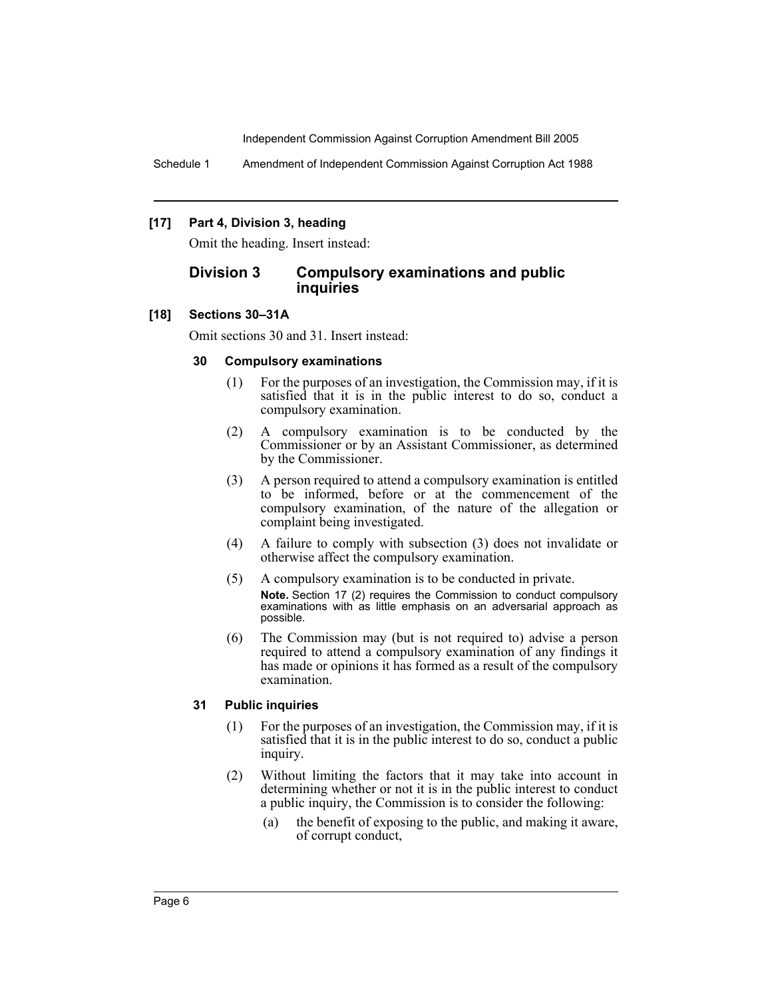Schedule 1 Amendment of Independent Commission Against Corruption Act 1988

## **[17] Part 4, Division 3, heading**

Omit the heading. Insert instead:

# **Division 3 Compulsory examinations and public inquiries**

#### **[18] Sections 30–31A**

Omit sections 30 and 31. Insert instead:

#### **30 Compulsory examinations**

- (1) For the purposes of an investigation, the Commission may, if it is satisfied that it is in the public interest to do so, conduct a compulsory examination.
- (2) A compulsory examination is to be conducted by the Commissioner or by an Assistant Commissioner, as determined by the Commissioner.
- (3) A person required to attend a compulsory examination is entitled to be informed, before or at the commencement of the compulsory examination, of the nature of the allegation or complaint being investigated.
- (4) A failure to comply with subsection (3) does not invalidate or otherwise affect the compulsory examination.
- (5) A compulsory examination is to be conducted in private. **Note.** Section 17 (2) requires the Commission to conduct compulsory examinations with as little emphasis on an adversarial approach as possible.
- (6) The Commission may (but is not required to) advise a person required to attend a compulsory examination of any findings it has made or opinions it has formed as a result of the compulsory examination.

# **31 Public inquiries**

- (1) For the purposes of an investigation, the Commission may, if it is satisfied that it is in the public interest to do so, conduct a public inquiry.
- (2) Without limiting the factors that it may take into account in determining whether or not it is in the public interest to conduct a public inquiry, the Commission is to consider the following:
	- (a) the benefit of exposing to the public, and making it aware, of corrupt conduct,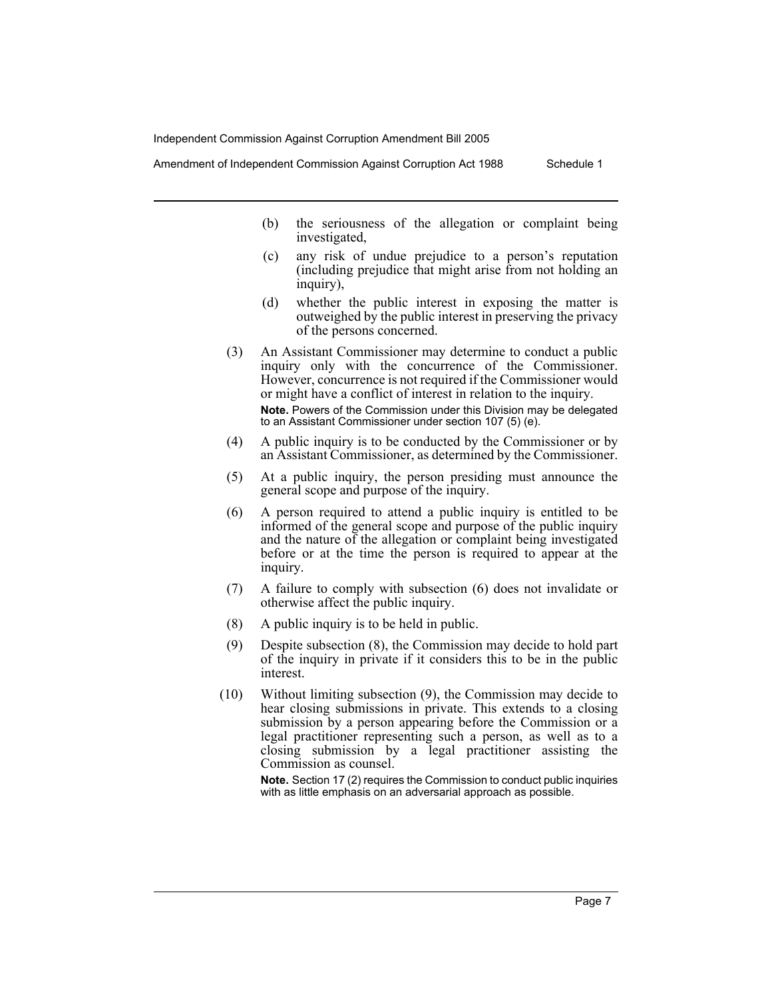Amendment of Independent Commission Against Corruption Act 1988 Schedule 1

- (b) the seriousness of the allegation or complaint being investigated,
- (c) any risk of undue prejudice to a person's reputation (including prejudice that might arise from not holding an inquiry),
- (d) whether the public interest in exposing the matter is outweighed by the public interest in preserving the privacy of the persons concerned.
- (3) An Assistant Commissioner may determine to conduct a public inquiry only with the concurrence of the Commissioner. However, concurrence is not required if the Commissioner would or might have a conflict of interest in relation to the inquiry. **Note.** Powers of the Commission under this Division may be delegated to an Assistant Commissioner under section 107 (5) (e).
- (4) A public inquiry is to be conducted by the Commissioner or by an Assistant Commissioner, as determined by the Commissioner.
- (5) At a public inquiry, the person presiding must announce the general scope and purpose of the inquiry.
- (6) A person required to attend a public inquiry is entitled to be informed of the general scope and purpose of the public inquiry and the nature of the allegation or complaint being investigated before or at the time the person is required to appear at the inquiry.
- (7) A failure to comply with subsection (6) does not invalidate or otherwise affect the public inquiry.
- (8) A public inquiry is to be held in public.
- (9) Despite subsection (8), the Commission may decide to hold part of the inquiry in private if it considers this to be in the public interest.
- (10) Without limiting subsection (9), the Commission may decide to hear closing submissions in private. This extends to a closing submission by a person appearing before the Commission or a legal practitioner representing such a person, as well as to a closing submission by a legal practitioner assisting the Commission as counsel.

**Note.** Section 17 (2) requires the Commission to conduct public inquiries with as little emphasis on an adversarial approach as possible.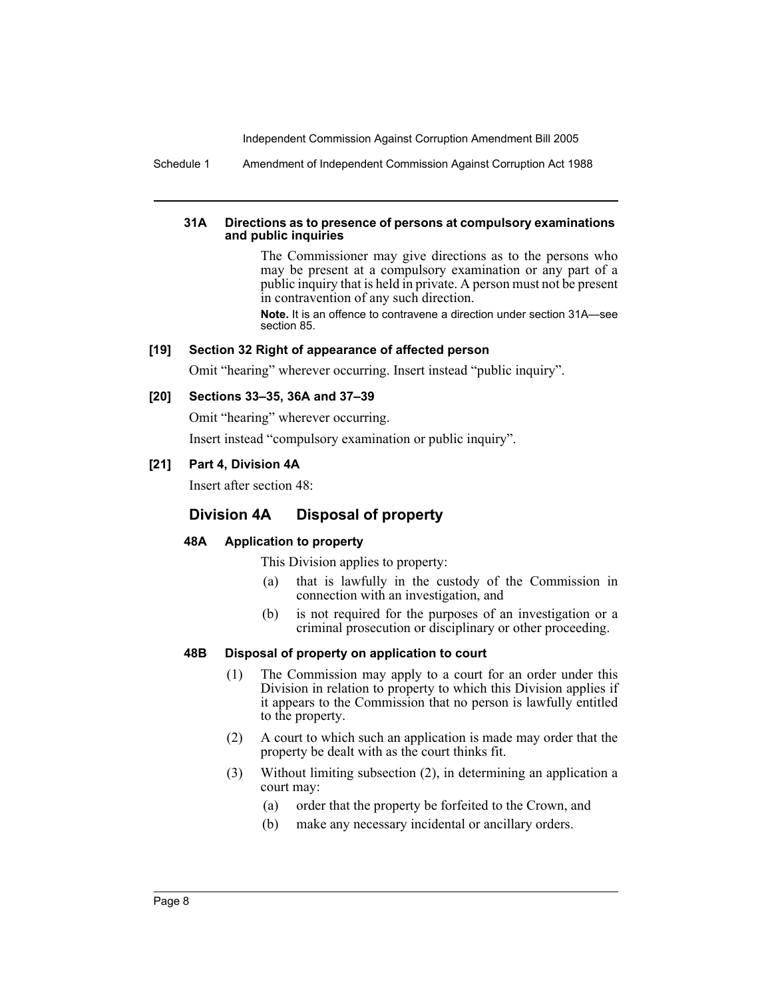Schedule 1 Amendment of Independent Commission Against Corruption Act 1988

#### **31A Directions as to presence of persons at compulsory examinations and public inquiries**

The Commissioner may give directions as to the persons who may be present at a compulsory examination or any part of a public inquiry that is held in private. A person must not be present in contravention of any such direction.

**Note.** It is an offence to contravene a direction under section 31A—see section 85.

# **[19] Section 32 Right of appearance of affected person**

Omit "hearing" wherever occurring. Insert instead "public inquiry".

#### **[20] Sections 33–35, 36A and 37–39**

Omit "hearing" wherever occurring.

Insert instead "compulsory examination or public inquiry".

# **[21] Part 4, Division 4A**

Insert after section 48:

# **Division 4A Disposal of property**

# **48A Application to property**

This Division applies to property:

- (a) that is lawfully in the custody of the Commission in connection with an investigation, and
- (b) is not required for the purposes of an investigation or a criminal prosecution or disciplinary or other proceeding.

#### **48B Disposal of property on application to court**

- (1) The Commission may apply to a court for an order under this Division in relation to property to which this Division applies if it appears to the Commission that no person is lawfully entitled to the property.
- (2) A court to which such an application is made may order that the property be dealt with as the court thinks fit.
- (3) Without limiting subsection (2), in determining an application a court may:
	- (a) order that the property be forfeited to the Crown, and
	- (b) make any necessary incidental or ancillary orders.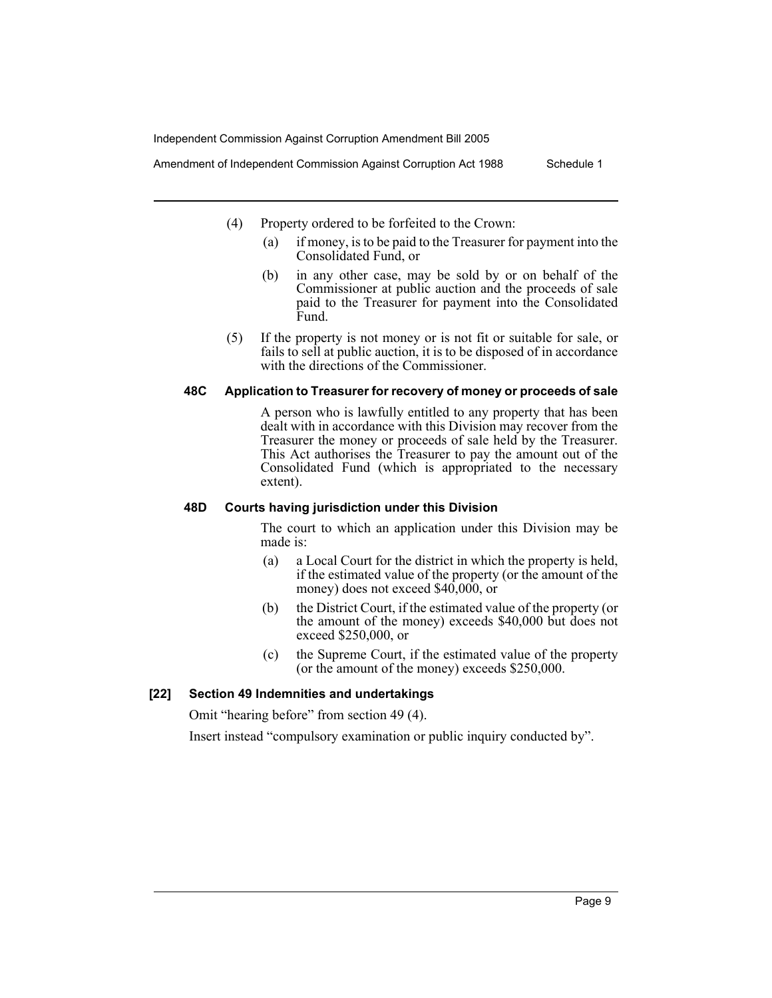Amendment of Independent Commission Against Corruption Act 1988 Schedule 1

- (4) Property ordered to be forfeited to the Crown:
	- (a) if money, is to be paid to the Treasurer for payment into the Consolidated Fund, or
	- (b) in any other case, may be sold by or on behalf of the Commissioner at public auction and the proceeds of sale paid to the Treasurer for payment into the Consolidated Fund.
- (5) If the property is not money or is not fit or suitable for sale, or fails to sell at public auction, it is to be disposed of in accordance with the directions of the Commissioner.

# **48C Application to Treasurer for recovery of money or proceeds of sale**

A person who is lawfully entitled to any property that has been dealt with in accordance with this Division may recover from the Treasurer the money or proceeds of sale held by the Treasurer. This Act authorises the Treasurer to pay the amount out of the Consolidated Fund (which is appropriated to the necessary extent).

#### **48D Courts having jurisdiction under this Division**

The court to which an application under this Division may be made is:

- (a) a Local Court for the district in which the property is held, if the estimated value of the property (or the amount of the money) does not exceed \$40,000, or
- (b) the District Court, if the estimated value of the property (or the amount of the money) exceeds \$40,000 but does not exceed \$250,000, or
- (c) the Supreme Court, if the estimated value of the property (or the amount of the money) exceeds \$250,000.

# **[22] Section 49 Indemnities and undertakings**

Omit "hearing before" from section 49 (4).

Insert instead "compulsory examination or public inquiry conducted by".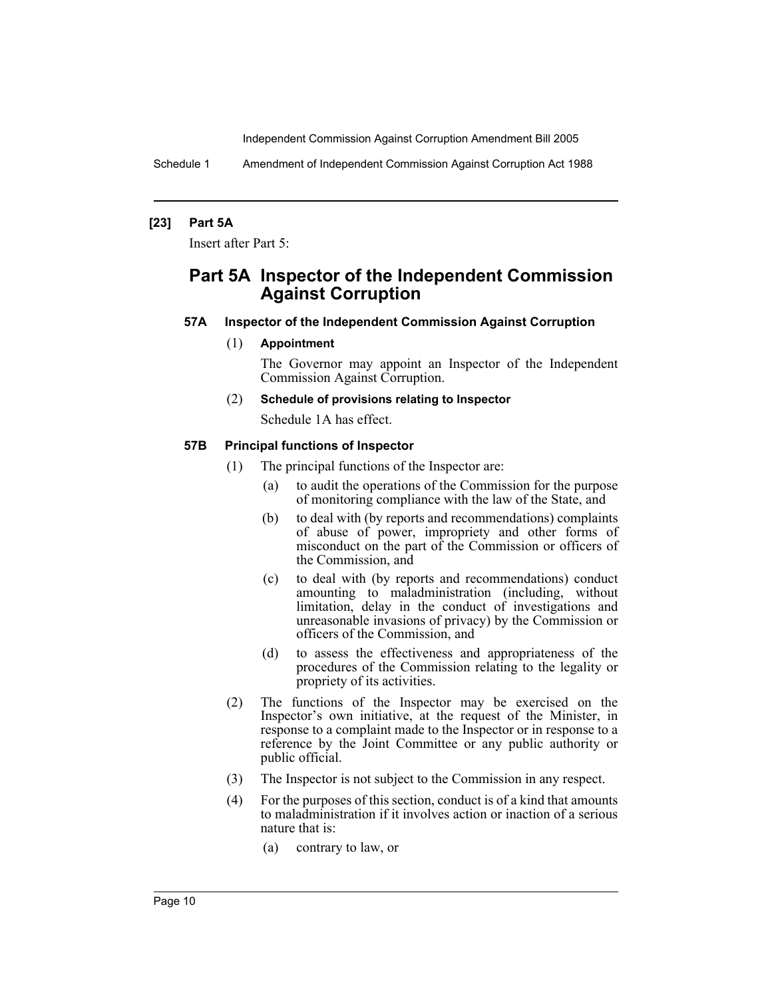Schedule 1 Amendment of Independent Commission Against Corruption Act 1988

#### **[23] Part 5A**

Insert after Part 5:

# **Part 5A Inspector of the Independent Commission Against Corruption**

#### **57A Inspector of the Independent Commission Against Corruption**

#### (1) **Appointment**

The Governor may appoint an Inspector of the Independent Commission Against Corruption.

#### (2) **Schedule of provisions relating to Inspector**

Schedule 1A has effect.

#### **57B Principal functions of Inspector**

- (1) The principal functions of the Inspector are:
	- (a) to audit the operations of the Commission for the purpose of monitoring compliance with the law of the State, and
	- (b) to deal with (by reports and recommendations) complaints of abuse of power, impropriety and other forms of misconduct on the part of the Commission or officers of the Commission, and
	- (c) to deal with (by reports and recommendations) conduct amounting to maladministration (including, without limitation, delay in the conduct of investigations and unreasonable invasions of privacy) by the Commission or officers of the Commission, and
	- (d) to assess the effectiveness and appropriateness of the procedures of the Commission relating to the legality or propriety of its activities.
- (2) The functions of the Inspector may be exercised on the Inspector's own initiative, at the request of the Minister, in response to a complaint made to the Inspector or in response to a reference by the Joint Committee or any public authority or public official.
- (3) The Inspector is not subject to the Commission in any respect.
- (4) For the purposes of this section, conduct is of a kind that amounts to maladministration if it involves action or inaction of a serious nature that is:
	- (a) contrary to law, or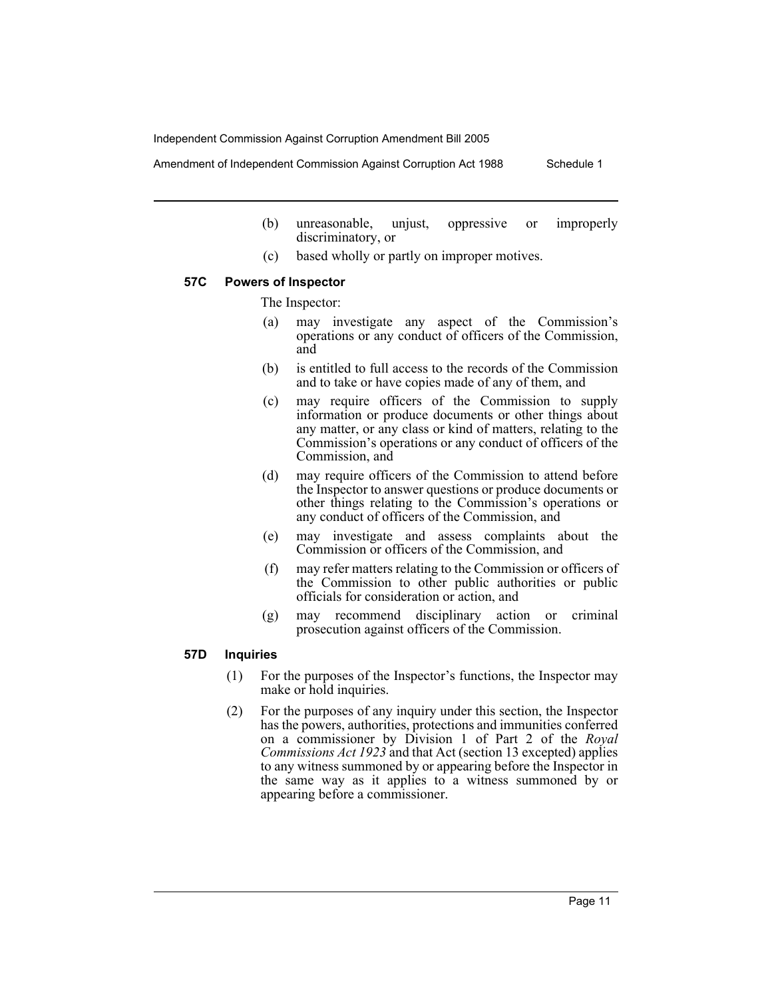Amendment of Independent Commission Against Corruption Act 1988 Schedule 1

- (b) unreasonable, unjust, oppressive or improperly discriminatory, or
- (c) based wholly or partly on improper motives.

#### **57C Powers of Inspector**

The Inspector:

- (a) may investigate any aspect of the Commission's operations or any conduct of officers of the Commission, and
- (b) is entitled to full access to the records of the Commission and to take or have copies made of any of them, and
- (c) may require officers of the Commission to supply information or produce documents or other things about any matter, or any class or kind of matters, relating to the Commission's operations or any conduct of officers of the Commission, and
- (d) may require officers of the Commission to attend before the Inspector to answer questions or produce documents or other things relating to the Commission's operations or any conduct of officers of the Commission, and
- (e) may investigate and assess complaints about the Commission or officers of the Commission, and
- (f) may refer matters relating to the Commission or officers of the Commission to other public authorities or public officials for consideration or action, and
- (g) may recommend disciplinary action or criminal prosecution against officers of the Commission.

#### **57D Inquiries**

- (1) For the purposes of the Inspector's functions, the Inspector may make or hold inquiries.
- (2) For the purposes of any inquiry under this section, the Inspector has the powers, authorities, protections and immunities conferred on a commissioner by Division 1 of Part 2 of the *Royal Commissions Act 1923* and that Act (section 13 excepted) applies to any witness summoned by or appearing before the Inspector in the same way as it applies to a witness summoned by or appearing before a commissioner.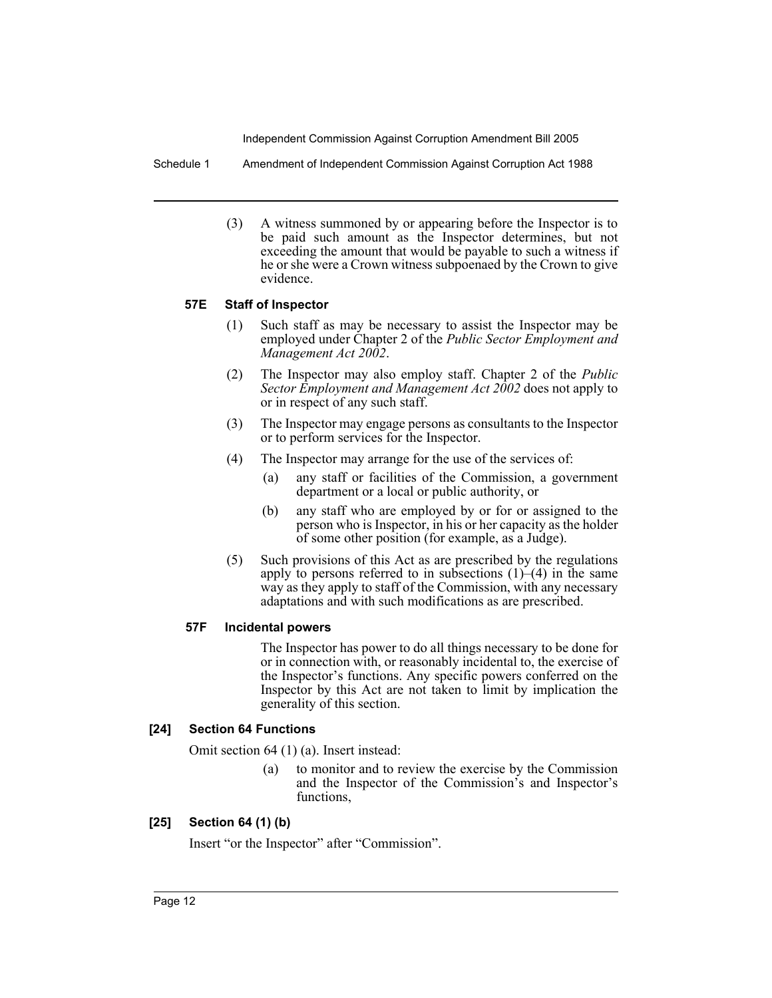Schedule 1 Amendment of Independent Commission Against Corruption Act 1988

(3) A witness summoned by or appearing before the Inspector is to be paid such amount as the Inspector determines, but not exceeding the amount that would be payable to such a witness if he or she were a Crown witness subpoenaed by the Crown to give evidence.

# **57E Staff of Inspector**

- (1) Such staff as may be necessary to assist the Inspector may be employed under Chapter 2 of the *Public Sector Employment and Management Act 2002*.
- (2) The Inspector may also employ staff. Chapter 2 of the *Public Sector Employment and Management Act 2002* does not apply to or in respect of any such staff.
- (3) The Inspector may engage persons as consultants to the Inspector or to perform services for the Inspector.
- (4) The Inspector may arrange for the use of the services of:
	- (a) any staff or facilities of the Commission, a government department or a local or public authority, or
	- (b) any staff who are employed by or for or assigned to the person who is Inspector, in his or her capacity as the holder of some other position (for example, as a Judge).
- (5) Such provisions of this Act as are prescribed by the regulations apply to persons referred to in subsections  $(1)$ – $(4)$  in the same way as they apply to staff of the Commission, with any necessary adaptations and with such modifications as are prescribed.

# **57F Incidental powers**

The Inspector has power to do all things necessary to be done for or in connection with, or reasonably incidental to, the exercise of the Inspector's functions. Any specific powers conferred on the Inspector by this Act are not taken to limit by implication the generality of this section.

# **[24] Section 64 Functions**

Omit section 64 (1) (a). Insert instead:

(a) to monitor and to review the exercise by the Commission and the Inspector of the Commission's and Inspector's functions,

# **[25] Section 64 (1) (b)**

Insert "or the Inspector" after "Commission".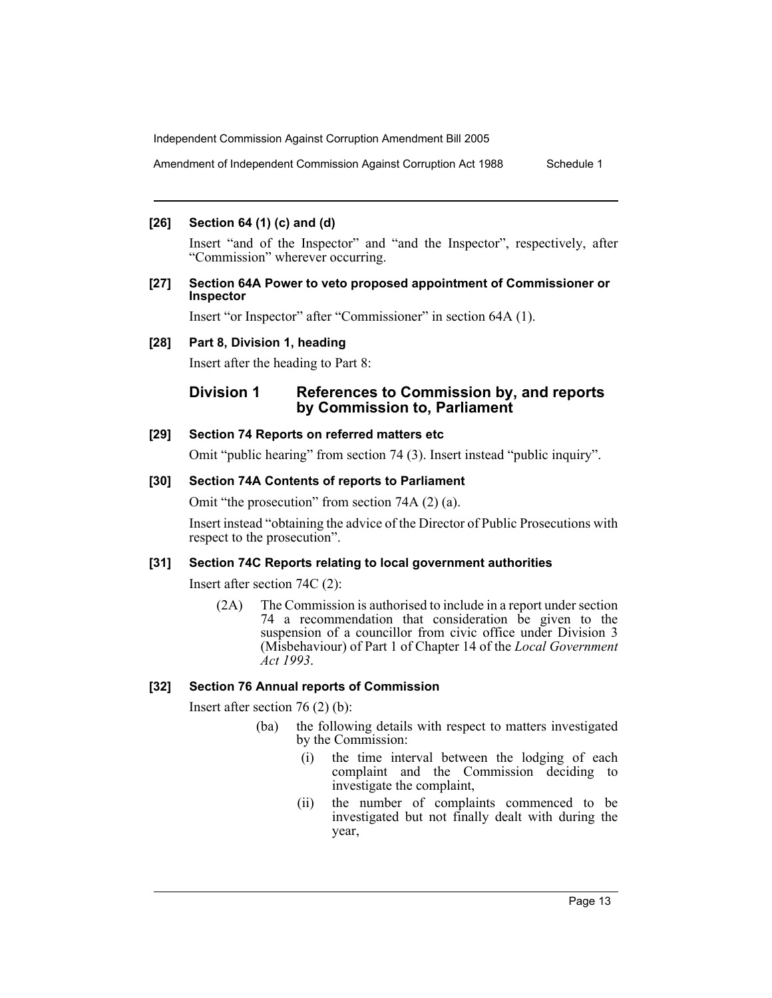Amendment of Independent Commission Against Corruption Act 1988 Schedule 1

# **[26] Section 64 (1) (c) and (d)**

Insert "and of the Inspector" and "and the Inspector", respectively, after "Commission" wherever occurring.

#### **[27] Section 64A Power to veto proposed appointment of Commissioner or Inspector**

Insert "or Inspector" after "Commissioner" in section 64A (1).

#### **[28] Part 8, Division 1, heading**

Insert after the heading to Part 8:

# **Division 1 References to Commission by, and reports by Commission to, Parliament**

#### **[29] Section 74 Reports on referred matters etc**

Omit "public hearing" from section 74 (3). Insert instead "public inquiry".

#### **[30] Section 74A Contents of reports to Parliament**

Omit "the prosecution" from section 74A (2) (a).

Insert instead "obtaining the advice of the Director of Public Prosecutions with respect to the prosecution".

# **[31] Section 74C Reports relating to local government authorities**

Insert after section 74C (2):

(2A) The Commission is authorised to include in a report under section 74 a recommendation that consideration be given to the suspension of a councillor from civic office under Division 3 (Misbehaviour) of Part 1 of Chapter 14 of the *Local Government Act 1993*.

# **[32] Section 76 Annual reports of Commission**

Insert after section 76 (2) (b):

- (ba) the following details with respect to matters investigated by the Commission:
	- (i) the time interval between the lodging of each complaint and the Commission deciding to investigate the complaint,
	- (ii) the number of complaints commenced to be investigated but not finally dealt with during the year,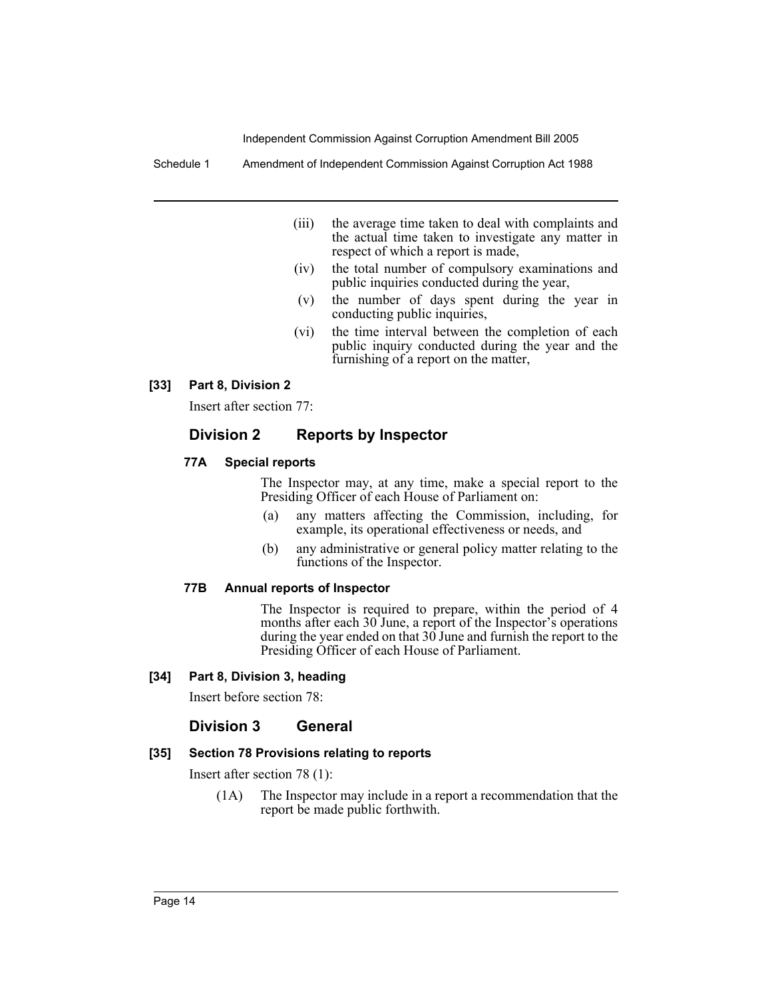Schedule 1 Amendment of Independent Commission Against Corruption Act 1988

- (iii) the average time taken to deal with complaints and the actual time taken to investigate any matter in respect of which a report is made,
- (iv) the total number of compulsory examinations and public inquiries conducted during the year,
- (v) the number of days spent during the year in conducting public inquiries,
- (vi) the time interval between the completion of each public inquiry conducted during the year and the furnishing of a report on the matter,

# **[33] Part 8, Division 2**

Insert after section 77:

# **Division 2 Reports by Inspector**

#### **77A Special reports**

The Inspector may, at any time, make a special report to the Presiding Officer of each House of Parliament on:

- (a) any matters affecting the Commission, including, for example, its operational effectiveness or needs, and
- (b) any administrative or general policy matter relating to the functions of the Inspector.

#### **77B Annual reports of Inspector**

The Inspector is required to prepare, within the period of 4 months after each 30 June, a report of the Inspector's operations during the year ended on that 30 June and furnish the report to the Presiding Officer of each House of Parliament.

#### **[34] Part 8, Division 3, heading**

Insert before section 78:

# **Division 3 General**

#### **[35] Section 78 Provisions relating to reports**

Insert after section 78 (1):

(1A) The Inspector may include in a report a recommendation that the report be made public forthwith.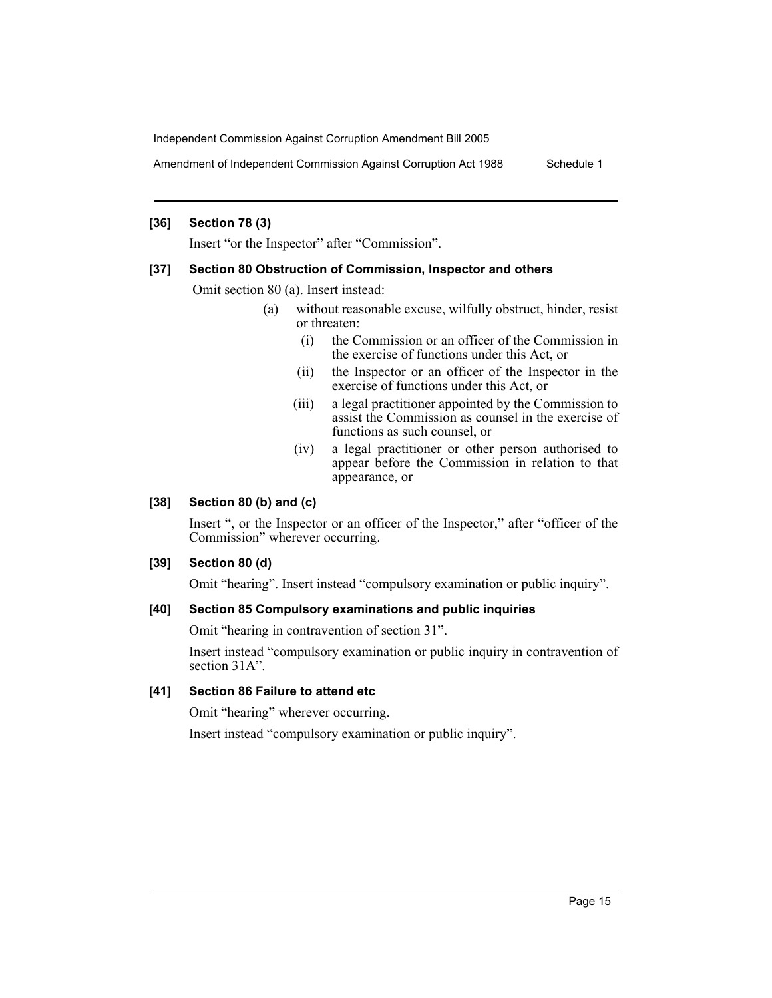Amendment of Independent Commission Against Corruption Act 1988 Schedule 1

#### **[36] Section 78 (3)**

Insert "or the Inspector" after "Commission".

#### **[37] Section 80 Obstruction of Commission, Inspector and others**

Omit section 80 (a). Insert instead:

- (a) without reasonable excuse, wilfully obstruct, hinder, resist or threaten:
	- (i) the Commission or an officer of the Commission in the exercise of functions under this Act, or
	- (ii) the Inspector or an officer of the Inspector in the exercise of functions under this Act, or
	- (iii) a legal practitioner appointed by the Commission to assist the Commission as counsel in the exercise of functions as such counsel, or
	- (iv) a legal practitioner or other person authorised to appear before the Commission in relation to that appearance, or

# **[38] Section 80 (b) and (c)**

Insert ", or the Inspector or an officer of the Inspector," after "officer of the Commission" wherever occurring.

# **[39] Section 80 (d)**

Omit "hearing". Insert instead "compulsory examination or public inquiry".

# **[40] Section 85 Compulsory examinations and public inquiries**

Omit "hearing in contravention of section 31".

Insert instead "compulsory examination or public inquiry in contravention of section  $31A$ ".

#### **[41] Section 86 Failure to attend etc**

Omit "hearing" wherever occurring.

Insert instead "compulsory examination or public inquiry".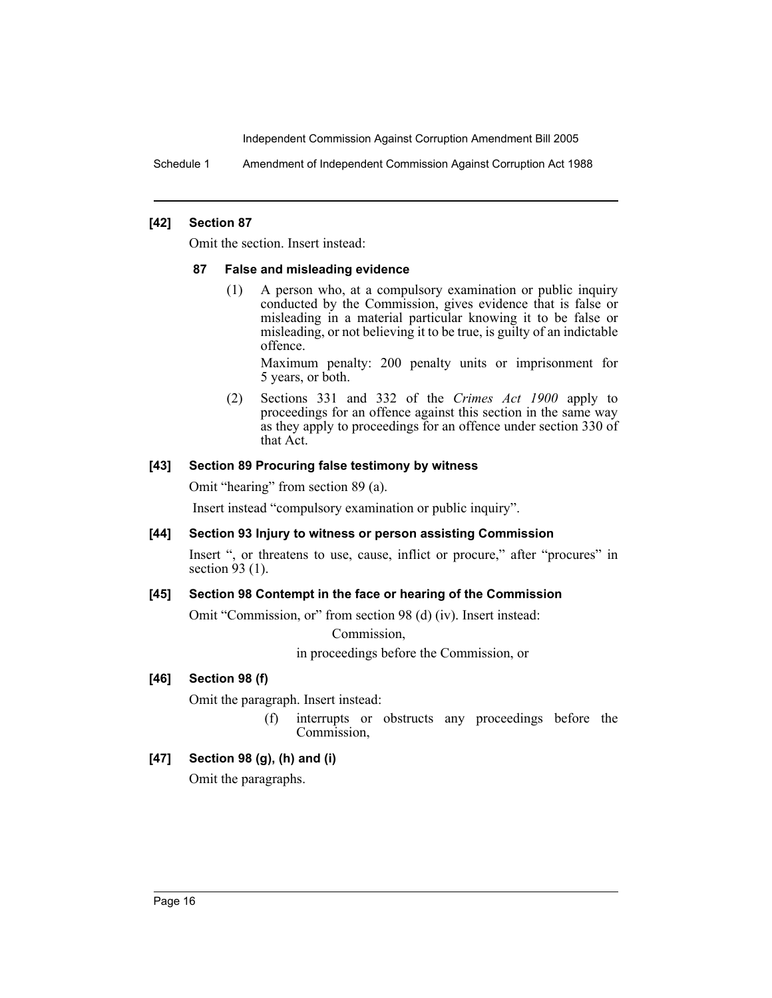Schedule 1 Amendment of Independent Commission Against Corruption Act 1988

#### **[42] Section 87**

Omit the section. Insert instead:

#### **87 False and misleading evidence**

(1) A person who, at a compulsory examination or public inquiry conducted by the Commission, gives evidence that is false or misleading in a material particular knowing it to be false or misleading, or not believing it to be true, is guilty of an indictable offence.

Maximum penalty: 200 penalty units or imprisonment for 5 years, or both.

(2) Sections 331 and 332 of the *Crimes Act 1900* apply to proceedings for an offence against this section in the same way as they apply to proceedings for an offence under section 330 of that Act.

#### **[43] Section 89 Procuring false testimony by witness**

Omit "hearing" from section 89 (a).

Insert instead "compulsory examination or public inquiry".

# **[44] Section 93 Injury to witness or person assisting Commission**

Insert ", or threatens to use, cause, inflict or procure," after "procures" in section  $93(1)$ .

# **[45] Section 98 Contempt in the face or hearing of the Commission**

Omit "Commission, or" from section 98 (d) (iv). Insert instead:

Commission,

in proceedings before the Commission, or

#### **[46] Section 98 (f)**

Omit the paragraph. Insert instead:

(f) interrupts or obstructs any proceedings before the Commission,

# **[47] Section 98 (g), (h) and (i)**

Omit the paragraphs.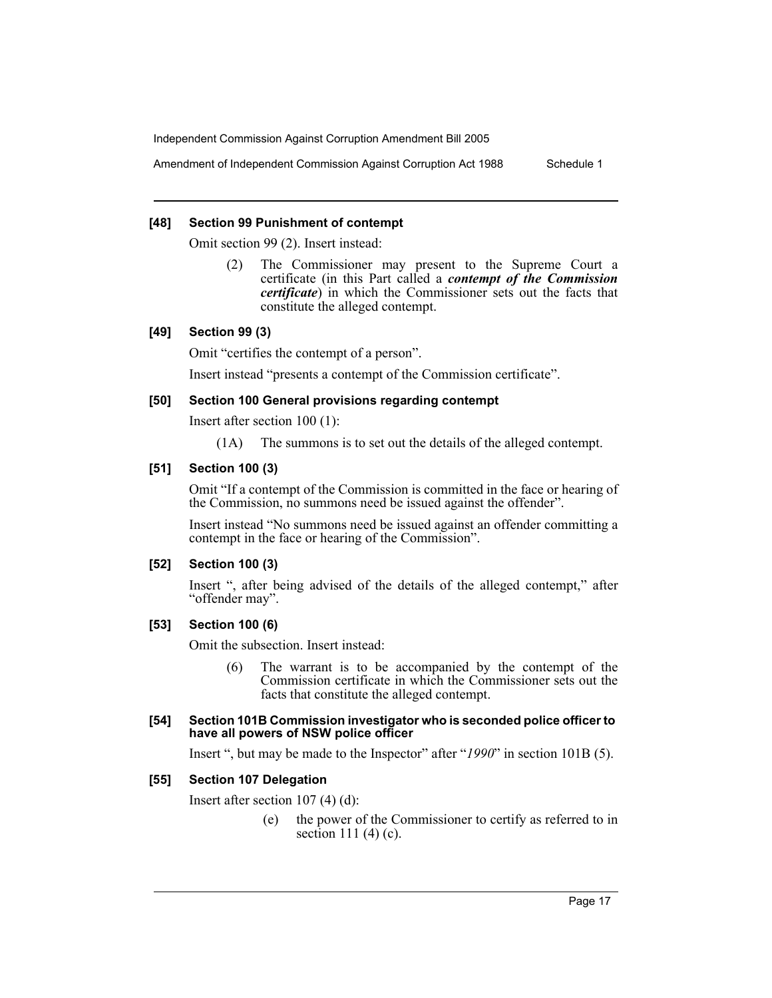Amendment of Independent Commission Against Corruption Act 1988 Schedule 1

#### **[48] Section 99 Punishment of contempt**

Omit section 99 (2). Insert instead:

(2) The Commissioner may present to the Supreme Court a certificate (in this Part called a *contempt of the Commission certificate*) in which the Commissioner sets out the facts that constitute the alleged contempt.

# **[49] Section 99 (3)**

Omit "certifies the contempt of a person".

Insert instead "presents a contempt of the Commission certificate".

# **[50] Section 100 General provisions regarding contempt**

Insert after section 100 (1):

(1A) The summons is to set out the details of the alleged contempt.

#### **[51] Section 100 (3)**

Omit "If a contempt of the Commission is committed in the face or hearing of the Commission, no summons need be issued against the offender".

Insert instead "No summons need be issued against an offender committing a contempt in the face or hearing of the Commission".

#### **[52] Section 100 (3)**

Insert ", after being advised of the details of the alleged contempt," after "offender may".

#### **[53] Section 100 (6)**

Omit the subsection. Insert instead:

(6) The warrant is to be accompanied by the contempt of the Commission certificate in which the Commissioner sets out the facts that constitute the alleged contempt.

#### **[54] Section 101B Commission investigator who is seconded police officer to have all powers of NSW police officer**

Insert ", but may be made to the Inspector" after "*1990*" in section 101B (5).

#### **[55] Section 107 Delegation**

Insert after section 107 (4) (d):

(e) the power of the Commissioner to certify as referred to in section 111 (4) (c).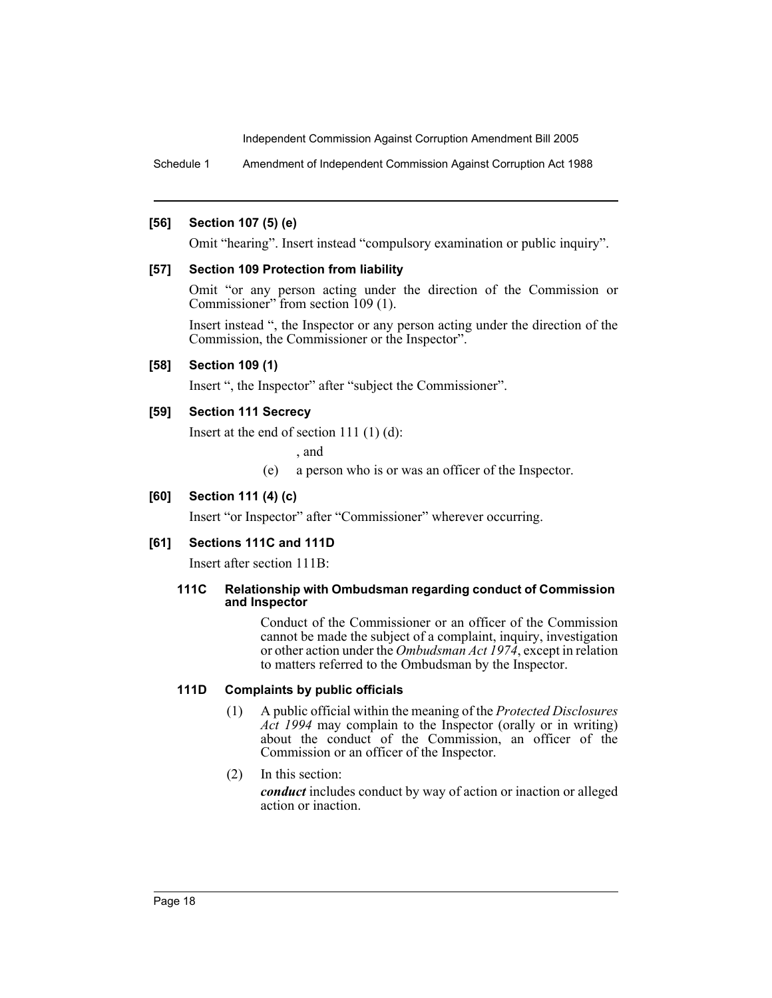Schedule 1 Amendment of Independent Commission Against Corruption Act 1988

#### **[56] Section 107 (5) (e)**

Omit "hearing". Insert instead "compulsory examination or public inquiry".

#### **[57] Section 109 Protection from liability**

Omit "or any person acting under the direction of the Commission or Commissioner" from section 109 (1).

Insert instead ", the Inspector or any person acting under the direction of the Commission, the Commissioner or the Inspector".

#### **[58] Section 109 (1)**

Insert ", the Inspector" after "subject the Commissioner".

#### **[59] Section 111 Secrecy**

Insert at the end of section 111 (1) (d):

, and

(e) a person who is or was an officer of the Inspector.

## **[60] Section 111 (4) (c)**

Insert "or Inspector" after "Commissioner" wherever occurring.

#### **[61] Sections 111C and 111D**

Insert after section 111B:

#### **111C Relationship with Ombudsman regarding conduct of Commission and Inspector**

Conduct of the Commissioner or an officer of the Commission cannot be made the subject of a complaint, inquiry, investigation or other action under the *Ombudsman Act 1974*, except in relation to matters referred to the Ombudsman by the Inspector.

#### **111D Complaints by public officials**

- (1) A public official within the meaning of the *Protected Disclosures Act 1994* may complain to the Inspector (orally or in writing) about the conduct of the Commission, an officer of the Commission or an officer of the Inspector.
- (2) In this section:

*conduct* includes conduct by way of action or inaction or alleged action or inaction.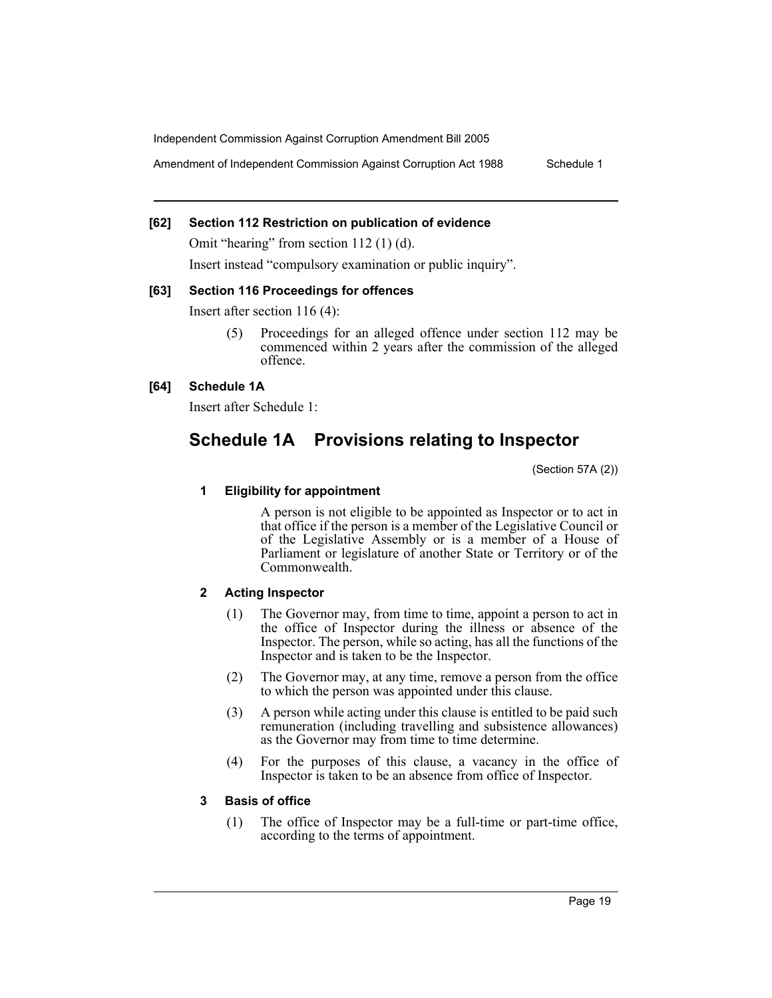Amendment of Independent Commission Against Corruption Act 1988 Schedule 1

# **[62] Section 112 Restriction on publication of evidence**

Omit "hearing" from section 112 (1) (d).

Insert instead "compulsory examination or public inquiry".

#### **[63] Section 116 Proceedings for offences**

Insert after section 116 (4):

(5) Proceedings for an alleged offence under section 112 may be commenced within 2 years after the commission of the alleged offence.

# **[64] Schedule 1A**

Insert after Schedule 1:

# **Schedule 1A Provisions relating to Inspector**

(Section 57A (2))

#### **1 Eligibility for appointment**

A person is not eligible to be appointed as Inspector or to act in that office if the person is a member of the Legislative Council or of the Legislative Assembly or is a member of a House of Parliament or legislature of another State or Territory or of the Commonwealth.

# **2 Acting Inspector**

- (1) The Governor may, from time to time, appoint a person to act in the office of Inspector during the illness or absence of the Inspector. The person, while so acting, has all the functions of the Inspector and is taken to be the Inspector.
- (2) The Governor may, at any time, remove a person from the office to which the person was appointed under this clause.
- (3) A person while acting under this clause is entitled to be paid such remuneration (including travelling and subsistence allowances) as the Governor may from time to time determine.
- (4) For the purposes of this clause, a vacancy in the office of Inspector is taken to be an absence from office of Inspector.

# **3 Basis of office**

(1) The office of Inspector may be a full-time or part-time office, according to the terms of appointment.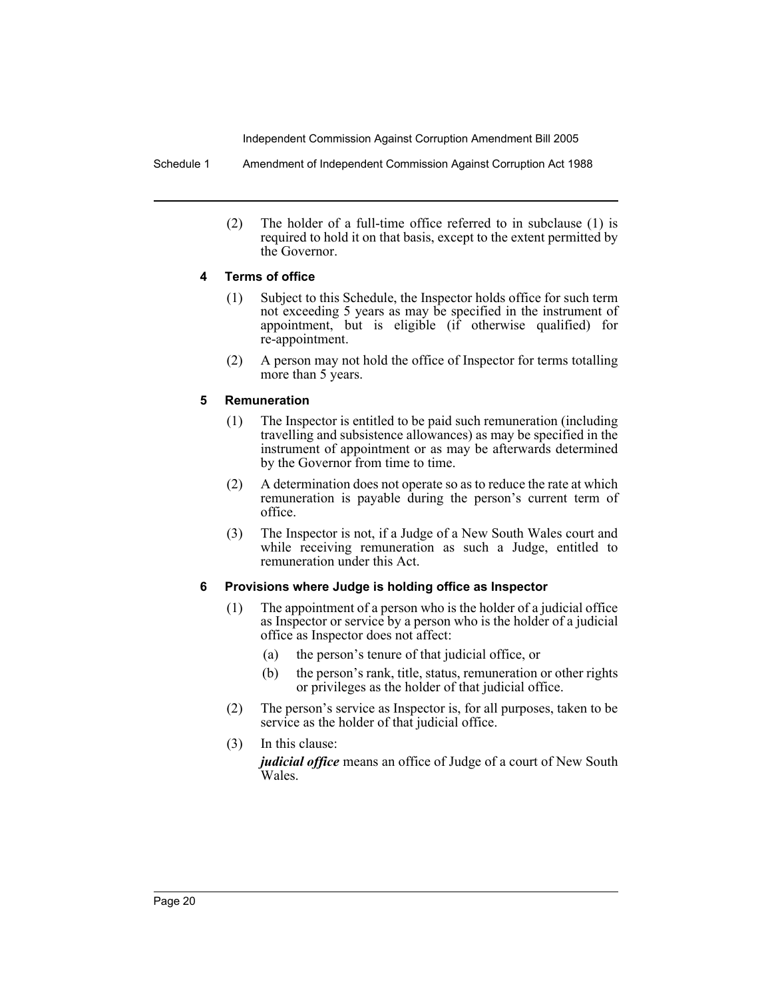Schedule 1 Amendment of Independent Commission Against Corruption Act 1988

(2) The holder of a full-time office referred to in subclause (1) is required to hold it on that basis, except to the extent permitted by the Governor.

# **4 Terms of office**

- (1) Subject to this Schedule, the Inspector holds office for such term not exceeding 5 years as may be specified in the instrument of appointment, but is eligible (if otherwise qualified) for re-appointment.
- (2) A person may not hold the office of Inspector for terms totalling more than 5 years.

# **5 Remuneration**

- (1) The Inspector is entitled to be paid such remuneration (including travelling and subsistence allowances) as may be specified in the instrument of appointment or as may be afterwards determined by the Governor from time to time.
- (2) A determination does not operate so as to reduce the rate at which remuneration is payable during the person's current term of office.
- (3) The Inspector is not, if a Judge of a New South Wales court and while receiving remuneration as such a Judge, entitled to remuneration under this Act.

# **6 Provisions where Judge is holding office as Inspector**

- (1) The appointment of a person who is the holder of a judicial office as Inspector or service by a person who is the holder of a judicial office as Inspector does not affect:
	- (a) the person's tenure of that judicial office, or
	- (b) the person's rank, title, status, remuneration or other rights or privileges as the holder of that judicial office.
- (2) The person's service as Inspector is, for all purposes, taken to be service as the holder of that judicial office.
- (3) In this clause: *judicial office* means an office of Judge of a court of New South Wales.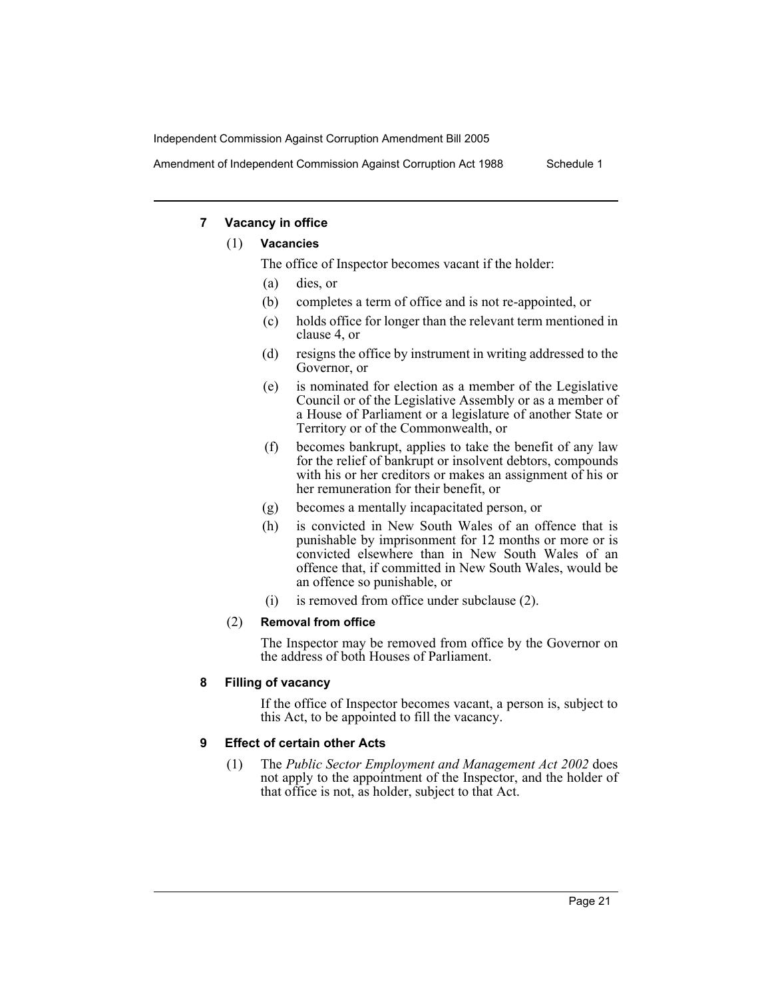Amendment of Independent Commission Against Corruption Act 1988 Schedule 1

# **7 Vacancy in office**

# (1) **Vacancies**

The office of Inspector becomes vacant if the holder:

- (a) dies, or
- (b) completes a term of office and is not re-appointed, or
- (c) holds office for longer than the relevant term mentioned in clause 4, or
- (d) resigns the office by instrument in writing addressed to the Governor, or
- (e) is nominated for election as a member of the Legislative Council or of the Legislative Assembly or as a member of a House of Parliament or a legislature of another State or Territory or of the Commonwealth, or
- (f) becomes bankrupt, applies to take the benefit of any law for the relief of bankrupt or insolvent debtors, compounds with his or her creditors or makes an assignment of his or her remuneration for their benefit, or
- (g) becomes a mentally incapacitated person, or
- (h) is convicted in New South Wales of an offence that is punishable by imprisonment for 12 months or more or is convicted elsewhere than in New South Wales of an offence that, if committed in New South Wales, would be an offence so punishable, or
- (i) is removed from office under subclause (2).

# (2) **Removal from office**

The Inspector may be removed from office by the Governor on the address of both Houses of Parliament.

# **8 Filling of vacancy**

If the office of Inspector becomes vacant, a person is, subject to this Act, to be appointed to fill the vacancy.

# **9 Effect of certain other Acts**

(1) The *Public Sector Employment and Management Act 2002* does not apply to the appointment of the Inspector, and the holder of that office is not, as holder, subject to that Act.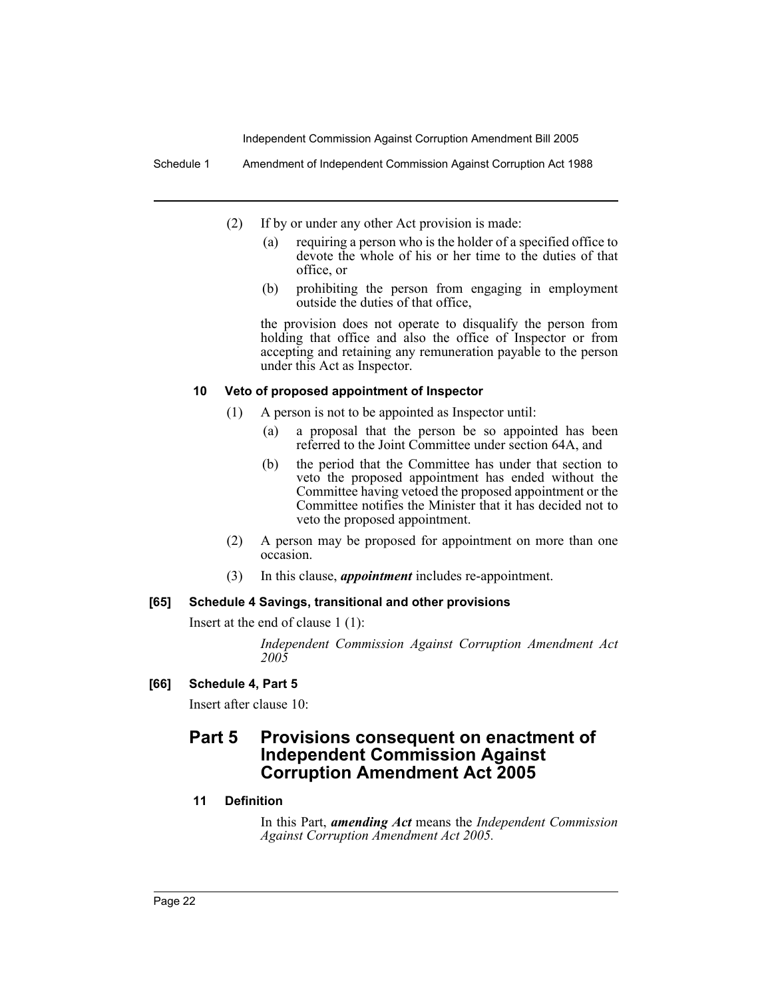Schedule 1 Amendment of Independent Commission Against Corruption Act 1988

- (2) If by or under any other Act provision is made:
	- (a) requiring a person who is the holder of a specified office to devote the whole of his or her time to the duties of that office, or
	- (b) prohibiting the person from engaging in employment outside the duties of that office,

the provision does not operate to disqualify the person from holding that office and also the office of Inspector or from accepting and retaining any remuneration payable to the person under this Act as Inspector.

#### **10 Veto of proposed appointment of Inspector**

- (1) A person is not to be appointed as Inspector until:
	- (a) a proposal that the person be so appointed has been referred to the Joint Committee under section 64A, and
	- (b) the period that the Committee has under that section to veto the proposed appointment has ended without the Committee having vetoed the proposed appointment or the Committee notifies the Minister that it has decided not to veto the proposed appointment.
- (2) A person may be proposed for appointment on more than one occasion.
- (3) In this clause, *appointment* includes re-appointment.

# **[65] Schedule 4 Savings, transitional and other provisions**

Insert at the end of clause 1 (1):

*Independent Commission Against Corruption Amendment Act 2005*

# **[66] Schedule 4, Part 5**

Insert after clause 10:

# **Part 5 Provisions consequent on enactment of Independent Commission Against Corruption Amendment Act 2005**

# **11 Definition**

In this Part, *amending Act* means the *Independent Commission Against Corruption Amendment Act 2005.*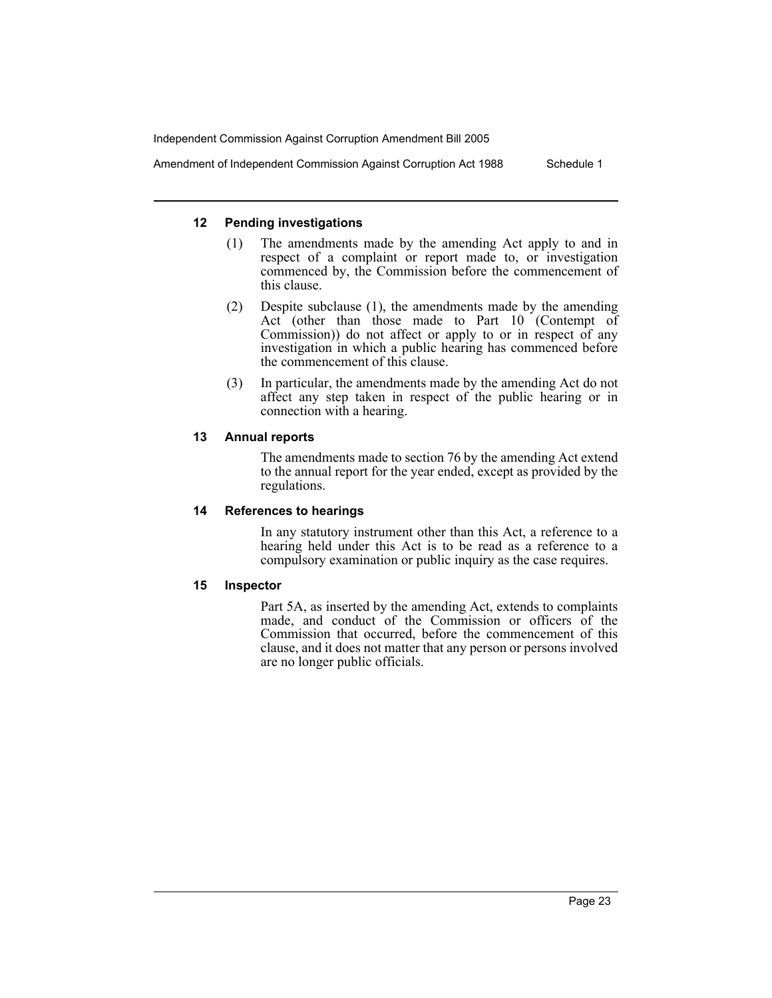Amendment of Independent Commission Against Corruption Act 1988 Schedule 1

# **12 Pending investigations**

- (1) The amendments made by the amending Act apply to and in respect of a complaint or report made to, or investigation commenced by, the Commission before the commencement of this clause.
- (2) Despite subclause (1), the amendments made by the amending Act (other than those made to Part 10 (Contempt of Commission)) do not affect or apply to or in respect of any investigation in which a public hearing has commenced before the commencement of this clause.
- (3) In particular, the amendments made by the amending Act do not affect any step taken in respect of the public hearing or in connection with a hearing.

# **13 Annual reports**

The amendments made to section 76 by the amending Act extend to the annual report for the year ended, except as provided by the regulations.

#### **14 References to hearings**

In any statutory instrument other than this Act, a reference to a hearing held under this Act is to be read as a reference to a compulsory examination or public inquiry as the case requires.

#### **15 Inspector**

Part 5A, as inserted by the amending Act, extends to complaints made, and conduct of the Commission or officers of the Commission that occurred, before the commencement of this clause, and it does not matter that any person or persons involved are no longer public officials.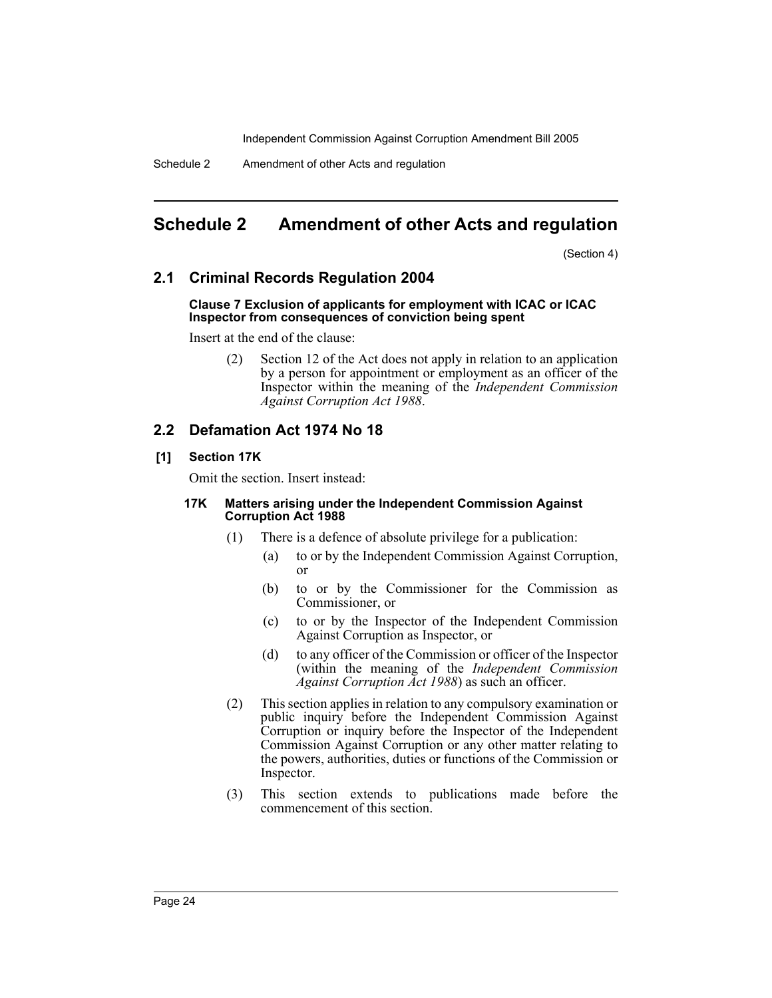Schedule 2 Amendment of other Acts and regulation

# **Schedule 2 Amendment of other Acts and regulation**

(Section 4)

# **2.1 Criminal Records Regulation 2004**

#### **Clause 7 Exclusion of applicants for employment with ICAC or ICAC Inspector from consequences of conviction being spent**

Insert at the end of the clause:

(2) Section 12 of the Act does not apply in relation to an application by a person for appointment or employment as an officer of the Inspector within the meaning of the *Independent Commission Against Corruption Act 1988*.

# **2.2 Defamation Act 1974 No 18**

# **[1] Section 17K**

Omit the section. Insert instead:

#### **17K Matters arising under the Independent Commission Against Corruption Act 1988**

- (1) There is a defence of absolute privilege for a publication:
	- (a) to or by the Independent Commission Against Corruption, or
	- (b) to or by the Commissioner for the Commission as Commissioner, or
	- (c) to or by the Inspector of the Independent Commission Against Corruption as Inspector, or
	- (d) to any officer of the Commission or officer of the Inspector (within the meaning of the *Independent Commission Against Corruption Act 1988*) as such an officer.
- (2) This section applies in relation to any compulsory examination or public inquiry before the Independent Commission Against Corruption or inquiry before the Inspector of the Independent Commission Against Corruption or any other matter relating to the powers, authorities, duties or functions of the Commission or Inspector.
- (3) This section extends to publications made before the commencement of this section.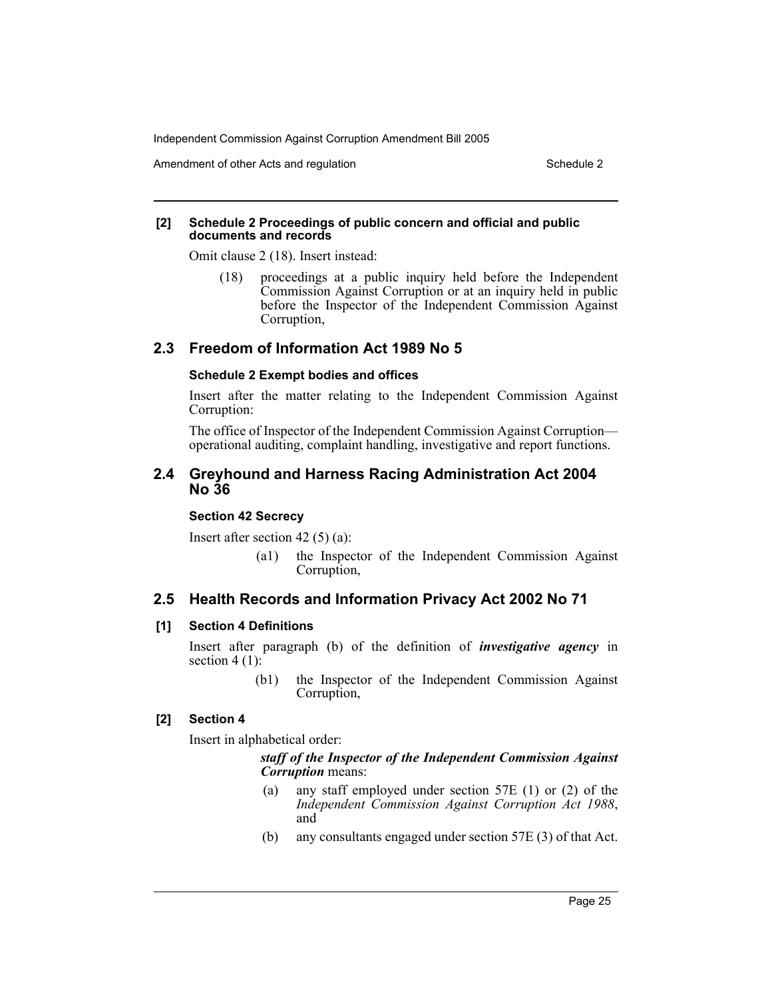Amendment of other Acts and regulation Schedule 2 and  $\sim$  Schedule 2

#### **[2] Schedule 2 Proceedings of public concern and official and public documents and records**

Omit clause 2 (18). Insert instead:

(18) proceedings at a public inquiry held before the Independent Commission Against Corruption or at an inquiry held in public before the Inspector of the Independent Commission Against Corruption,

# **2.3 Freedom of Information Act 1989 No 5**

#### **Schedule 2 Exempt bodies and offices**

Insert after the matter relating to the Independent Commission Against Corruption:

The office of Inspector of the Independent Commission Against Corruption operational auditing, complaint handling, investigative and report functions.

## **2.4 Greyhound and Harness Racing Administration Act 2004 No 36**

#### **Section 42 Secrecy**

Insert after section 42 (5) (a):

(a1) the Inspector of the Independent Commission Against Corruption,

# **2.5 Health Records and Information Privacy Act 2002 No 71**

#### **[1] Section 4 Definitions**

Insert after paragraph (b) of the definition of *investigative agency* in section  $4(1)$ :

> (b1) the Inspector of the Independent Commission Against Corruption,

#### **[2] Section 4**

Insert in alphabetical order:

#### *staff of the Inspector of the Independent Commission Against Corruption* means:

- (a) any staff employed under section 57E (1) or (2) of the *Independent Commission Against Corruption Act 1988*, and
- (b) any consultants engaged under section 57E (3) of that Act.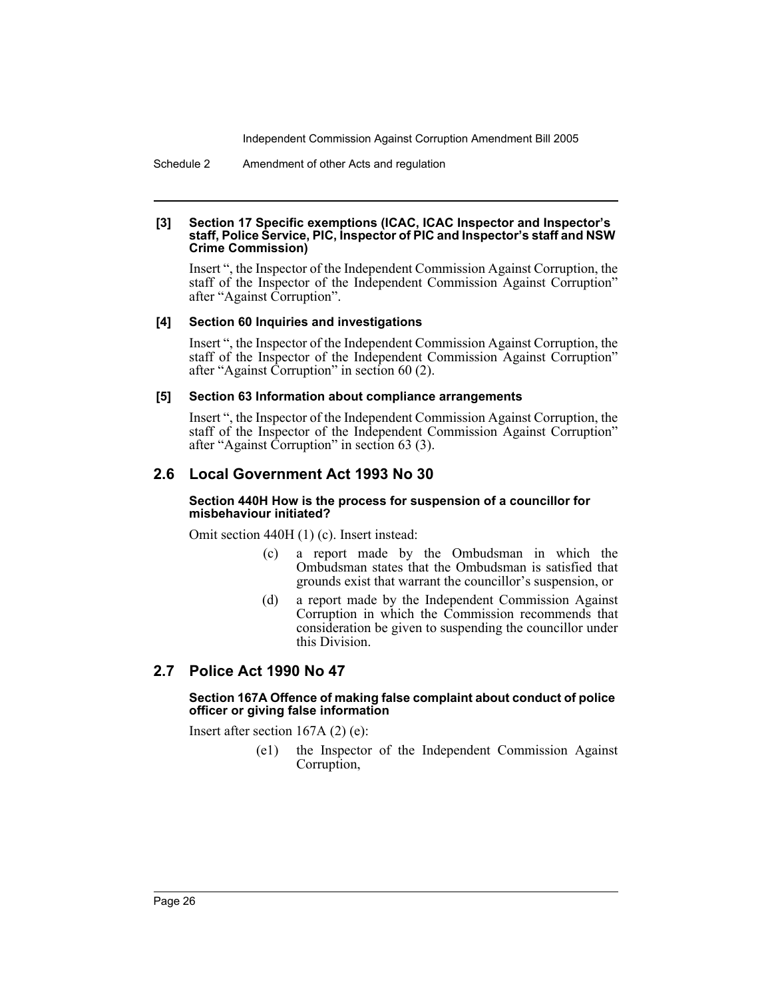Schedule 2 Amendment of other Acts and regulation

#### **[3] Section 17 Specific exemptions (ICAC, ICAC Inspector and Inspector's staff, Police Service, PIC, Inspector of PIC and Inspector's staff and NSW Crime Commission)**

Insert ", the Inspector of the Independent Commission Against Corruption, the staff of the Inspector of the Independent Commission Against Corruption" after "Against Corruption".

#### **[4] Section 60 Inquiries and investigations**

Insert ", the Inspector of the Independent Commission Against Corruption, the staff of the Inspector of the Independent Commission Against Corruption" after "Against Corruption" in section 60 (2).

#### **[5] Section 63 Information about compliance arrangements**

Insert ", the Inspector of the Independent Commission Against Corruption, the staff of the Inspector of the Independent Commission Against Corruption" after "Against Corruption" in section 63 (3).

# **2.6 Local Government Act 1993 No 30**

#### **Section 440H How is the process for suspension of a councillor for misbehaviour initiated?**

Omit section 440H (1) (c). Insert instead:

- (c) a report made by the Ombudsman in which the Ombudsman states that the Ombudsman is satisfied that grounds exist that warrant the councillor's suspension, or
- (d) a report made by the Independent Commission Against Corruption in which the Commission recommends that consideration be given to suspending the councillor under this Division.

# **2.7 Police Act 1990 No 47**

#### **Section 167A Offence of making false complaint about conduct of police officer or giving false information**

Insert after section 167A (2) (e):

(e1) the Inspector of the Independent Commission Against Corruption,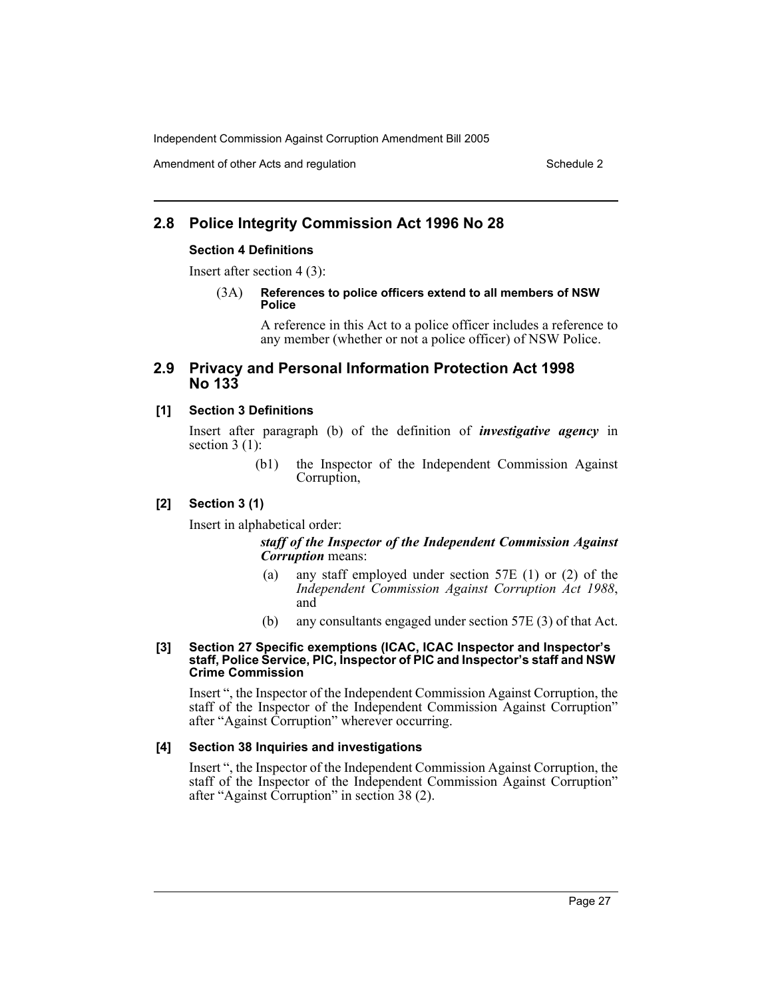Amendment of other Acts and regulation Schedule 2 and  $\mathcal{S}$  Schedule 2

# **2.8 Police Integrity Commission Act 1996 No 28**

#### **Section 4 Definitions**

Insert after section 4 (3):

(3A) **References to police officers extend to all members of NSW Police**

> A reference in this Act to a police officer includes a reference to any member (whether or not a police officer) of NSW Police.

# **2.9 Privacy and Personal Information Protection Act 1998 No 133**

#### **[1] Section 3 Definitions**

Insert after paragraph (b) of the definition of *investigative agency* in section  $3(1)$ :

> (b1) the Inspector of the Independent Commission Against Corruption,

#### **[2] Section 3 (1)**

Insert in alphabetical order:

#### *staff of the Inspector of the Independent Commission Against Corruption* means:

- (a) any staff employed under section 57E (1) or (2) of the *Independent Commission Against Corruption Act 1988*, and
- (b) any consultants engaged under section 57E (3) of that Act.

#### **[3] Section 27 Specific exemptions (ICAC, ICAC Inspector and Inspector's staff, Police Service, PIC, Inspector of PIC and Inspector's staff and NSW Crime Commission**

Insert ", the Inspector of the Independent Commission Against Corruption, the staff of the Inspector of the Independent Commission Against Corruption" after "Against Corruption" wherever occurring.

#### **[4] Section 38 Inquiries and investigations**

Insert ", the Inspector of the Independent Commission Against Corruption, the staff of the Inspector of the Independent Commission Against Corruption" after "Against Corruption" in section 38 (2).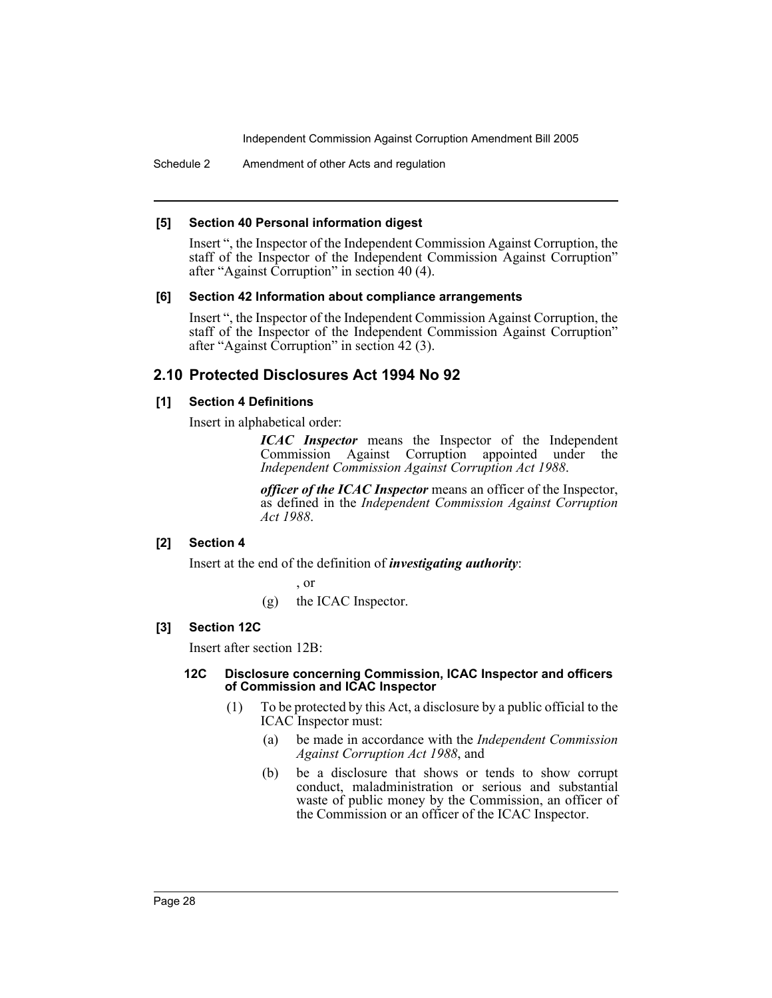Schedule 2 Amendment of other Acts and regulation

#### **[5] Section 40 Personal information digest**

Insert ", the Inspector of the Independent Commission Against Corruption, the staff of the Inspector of the Independent Commission Against Corruption" after "Against Corruption" in section 40 (4).

#### **[6] Section 42 Information about compliance arrangements**

Insert ", the Inspector of the Independent Commission Against Corruption, the staff of the Inspector of the Independent Commission Against Corruption" after "Against Corruption" in section 42 (3).

# **2.10 Protected Disclosures Act 1994 No 92**

# **[1] Section 4 Definitions**

Insert in alphabetical order:

*ICAC Inspector* means the Inspector of the Independent Commission Against Corruption appointed under the *Independent Commission Against Corruption Act 1988*.

*officer of the ICAC Inspector* means an officer of the Inspector, as defined in the *Independent Commission Against Corruption Act 1988*.

# **[2] Section 4**

Insert at the end of the definition of *investigating authority*:

, or

(g) the ICAC Inspector.

# **[3] Section 12C**

Insert after section 12B:

#### **12C Disclosure concerning Commission, ICAC Inspector and officers of Commission and ICAC Inspector**

- (1) To be protected by this Act, a disclosure by a public official to the ICAC Inspector must:
	- (a) be made in accordance with the *Independent Commission Against Corruption Act 1988*, and
	- (b) be a disclosure that shows or tends to show corrupt conduct, maladministration or serious and substantial waste of public money by the Commission, an officer of the Commission or an officer of the ICAC Inspector.